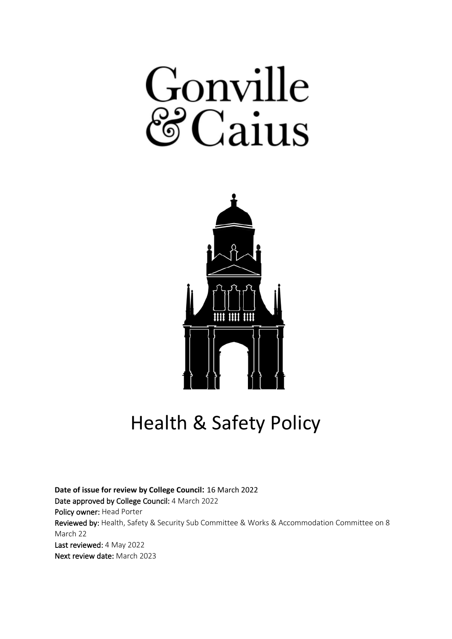# Gonville  $Caius$



Health & Safety Policy

**Date of issue for review by College Council:** 16 March 2022 Date approved by College Council: 4 March 2022 Policy owner: Head Porter Reviewed by: Health, Safety & Security Sub Committee & Works & Accommodation Committee on 8 March 22 Last reviewed: 4 May 2022 Next review date: March 2023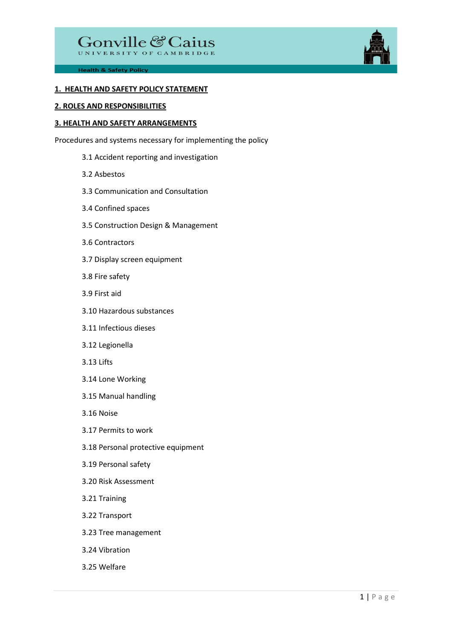

#### **1. HEALTH AND SAFETY POLICY STATEMENT**

#### **2. ROLES AND RESPONSIBILITIES**

#### **3. HEALTH AND SAFETY ARRANGEMENTS**

Procedures and systems necessary for implementing the policy

- 3.1 Accident reporting and investigation
- 3.2 Asbestos
- 3.3 Communication and Consultation
- 3.4 Confined spaces
- 3.5 Construction Design & Management
- 3.6 Contractors
- 3.7 Display screen equipment
- 3.8 Fire safety
- 3.9 First aid
- 3.10 Hazardous substances
- 3.11 Infectious dieses
- 3.12 Legionella
- 3.13 Lifts
- 3.14 Lone Working
- 3.15 Manual handling
- 3.16 Noise
- 3.17 Permits to work
- 3.18 Personal protective equipment
- 3.19 Personal safety
- 3.20 Risk Assessment
- 3.21 Training
- 3.22 Transport
- 3.23 Tree management
- 3.24 Vibration
- 3.25 Welfare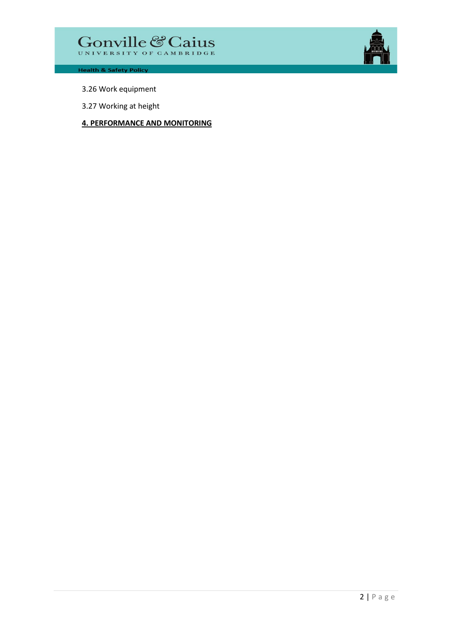

- 3.26 Work equipment
- 3.27 Working at height

# **4. PERFORMANCE AND MONITORING**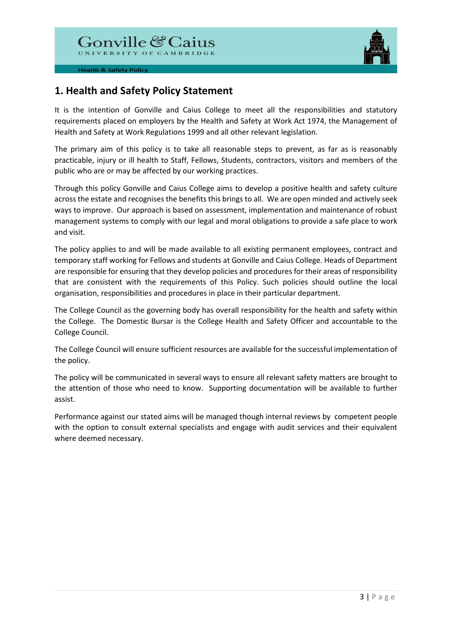

# **1. Health and Safety Policy Statement**

It is the intention of Gonville and Caius College to meet all the responsibilities and statutory requirements placed on employers by the Health and Safety at Work Act 1974, the Management of Health and Safety at Work Regulations 1999 and all other relevant legislation.

The primary aim of this policy is to take all reasonable steps to prevent, as far as is reasonably practicable, injury or ill health to Staff, Fellows, Students, contractors, visitors and members of the public who are or may be affected by our working practices.

Through this policy Gonville and Caius College aims to develop a positive health and safety culture across the estate and recognises the benefits this brings to all. We are open minded and actively seek ways to improve. Our approach is based on assessment, implementation and maintenance of robust management systems to comply with our legal and moral obligations to provide a safe place to work and visit.

The policy applies to and will be made available to all existing permanent employees, contract and temporary staff working for Fellows and students at Gonville and Caius College. Heads of Department are responsible for ensuring that they develop policies and procedures for their areas of responsibility that are consistent with the requirements of this Policy. Such policies should outline the local organisation, responsibilities and procedures in place in their particular department.

The College Council as the governing body has overall responsibility for the health and safety within the College. The Domestic Bursar is the College Health and Safety Officer and accountable to the College Council.

The College Council will ensure sufficient resources are available for the successful implementation of the policy.

The policy will be communicated in several ways to ensure all relevant safety matters are brought to the attention of those who need to know. Supporting documentation will be available to further assist.

Performance against our stated aims will be managed though internal reviews by competent people with the option to consult external specialists and engage with audit services and their equivalent where deemed necessary.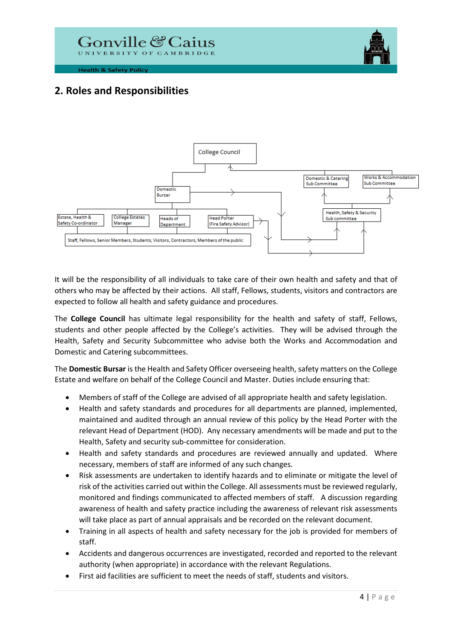



# **2. Roles and Responsibilities**



It will be the responsibility of all individuals to take care of their own health and safety and that of others who may be affected by their actions. All staff, Fellows, students, visitors and contractors are expected to follow all health and safety guidance and procedures.

The **College Council** has ultimate legal responsibility for the health and safety of staff, Fellows, students and other people affected by the College's activities. They will be advised through the Health, Safety and Security Subcommittee who advise both the Works and Accommodation and Domestic and Catering subcommittees.

The **Domestic Bursar** is the Health and Safety Officer overseeing health, safety matters on the College Estate and welfare on behalf of the College Council and Master. Duties include ensuring that:

- Members of staff of the College are advised of all appropriate health and safety legislation.
- Health and safety standards and procedures for all departments are planned, implemented, maintained and audited through an annual review of this policy by the Head Porter with the relevant Head of Department (HOD). Any necessary amendments will be made and put to the Health, Safety and security sub-committee for consideration.
- Health and safety standards and procedures are reviewed annually and updated. Where necessary, members of staff are informed of any such changes.
- Risk assessments are undertaken to identify hazards and to eliminate or mitigate the level of risk of the activities carried out within the College. All assessments must be reviewed regularly, monitored and findings communicated to affected members of staff. A discussion regarding awareness of health and safety practice including the awareness of relevant risk assessments will take place as part of annual appraisals and be recorded on the relevant document.
- Training in all aspects of health and safety necessary for the job is provided for members of staff.
- Accidents and dangerous occurrences are investigated, recorded and reported to the relevant authority (when appropriate) in accordance with the relevant Regulations.
- First aid facilities are sufficient to meet the needs of staff, students and visitors.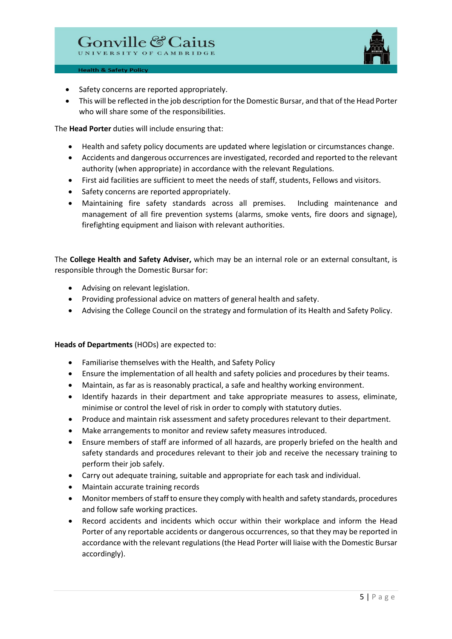

- Safety concerns are reported appropriately.
- This will be reflected in the job description for the Domestic Bursar, and that of the Head Porter who will share some of the responsibilities.

The **Head Porter** duties will include ensuring that:

- Health and safety policy documents are updated where legislation or circumstances change.
- Accidents and dangerous occurrences are investigated, recorded and reported to the relevant authority (when appropriate) in accordance with the relevant Regulations.
- First aid facilities are sufficient to meet the needs of staff, students, Fellows and visitors.
- Safety concerns are reported appropriately.
- Maintaining fire safety standards across all premises. Including maintenance and management of all fire prevention systems (alarms, smoke vents, fire doors and signage), firefighting equipment and liaison with relevant authorities.

The **College Health and Safety Adviser,** which may be an internal role or an external consultant, is responsible through the Domestic Bursar for:

- Advising on relevant legislation.
- Providing professional advice on matters of general health and safety.
- Advising the College Council on the strategy and formulation of its Health and Safety Policy.

# **Heads of Departments** (HODs) are expected to:

- Familiarise themselves with the Health, and Safety Policy
- Ensure the implementation of all health and safety policies and procedures by their teams.
- Maintain, as far as is reasonably practical, a safe and healthy working environment.
- Identify hazards in their department and take appropriate measures to assess, eliminate, minimise or control the level of risk in order to comply with statutory duties.
- Produce and maintain risk assessment and safety procedures relevant to their department.
- Make arrangements to monitor and review safety measures introduced.
- Ensure members of staff are informed of all hazards, are properly briefed on the health and safety standards and procedures relevant to their job and receive the necessary training to perform their job safely.
- Carry out adequate training, suitable and appropriate for each task and individual.
- Maintain accurate training records
- Monitor members of staff to ensure they comply with health and safety standards, procedures and follow safe working practices.
- Record accidents and incidents which occur within their workplace and inform the Head Porter of any reportable accidents or dangerous occurrences, so that they may be reported in accordance with the relevant regulations (the Head Porter will liaise with the Domestic Bursar accordingly).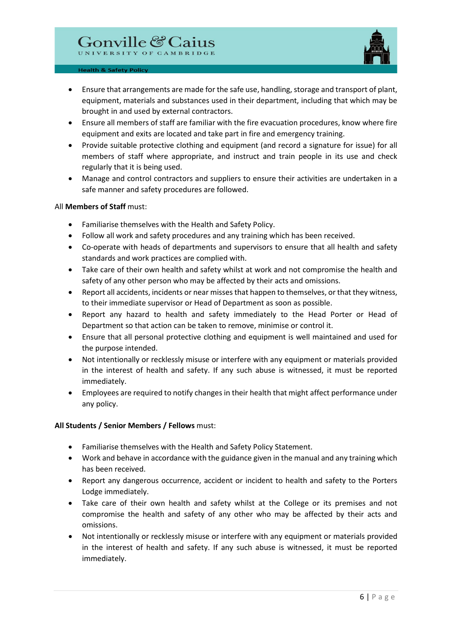

- Ensure that arrangements are made for the safe use, handling, storage and transport of plant, equipment, materials and substances used in their department, including that which may be brought in and used by external contractors.
- Ensure all members of staff are familiar with the fire evacuation procedures, know where fire equipment and exits are located and take part in fire and emergency training.
- Provide suitable protective clothing and equipment (and record a signature for issue) for all members of staff where appropriate, and instruct and train people in its use and check regularly that it is being used.
- Manage and control contractors and suppliers to ensure their activities are undertaken in a safe manner and safety procedures are followed.

#### All **Members of Staff** must:

- Familiarise themselves with the Health and Safety Policy.
- Follow all work and safety procedures and any training which has been received.
- Co-operate with heads of departments and supervisors to ensure that all health and safety standards and work practices are complied with.
- Take care of their own health and safety whilst at work and not compromise the health and safety of any other person who may be affected by their acts and omissions.
- Report all accidents, incidents or near misses that happen to themselves, or that they witness, to their immediate supervisor or Head of Department as soon as possible.
- Report any hazard to health and safety immediately to the Head Porter or Head of Department so that action can be taken to remove, minimise or control it.
- Ensure that all personal protective clothing and equipment is well maintained and used for the purpose intended.
- Not intentionally or recklessly misuse or interfere with any equipment or materials provided in the interest of health and safety. If any such abuse is witnessed, it must be reported immediately.
- Employees are required to notify changes in their health that might affect performance under any policy.

# **All Students / Senior Members / Fellows** must:

- Familiarise themselves with the Health and Safety Policy Statement.
- Work and behave in accordance with the guidance given in the manual and any training which has been received.
- Report any dangerous occurrence, accident or incident to health and safety to the Porters Lodge immediately.
- Take care of their own health and safety whilst at the College or its premises and not compromise the health and safety of any other who may be affected by their acts and omissions.
- Not intentionally or recklessly misuse or interfere with any equipment or materials provided in the interest of health and safety. If any such abuse is witnessed, it must be reported immediately.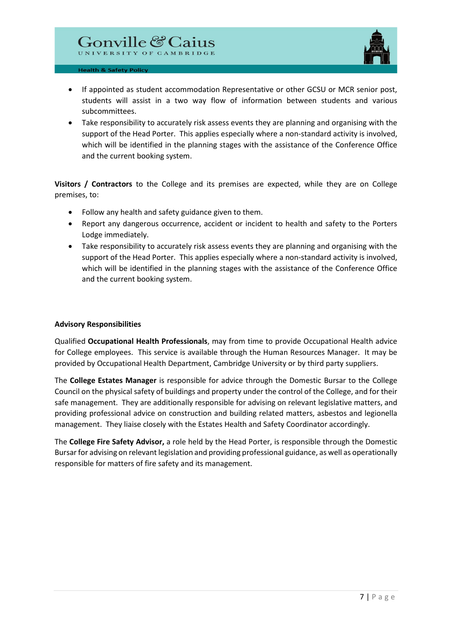

- If appointed as student accommodation Representative or other GCSU or MCR senior post, students will assist in a two way flow of information between students and various subcommittees.
- Take responsibility to accurately risk assess events they are planning and organising with the support of the Head Porter. This applies especially where a non-standard activity is involved, which will be identified in the planning stages with the assistance of the Conference Office and the current booking system.

**Visitors / Contractors** to the College and its premises are expected, while they are on College premises, to:

- Follow any health and safety guidance given to them.
- Report any dangerous occurrence, accident or incident to health and safety to the Porters Lodge immediately.
- Take responsibility to accurately risk assess events they are planning and organising with the support of the Head Porter. This applies especially where a non-standard activity is involved, which will be identified in the planning stages with the assistance of the Conference Office and the current booking system.

# **Advisory Responsibilities**

Qualified **Occupational Health Professionals**, may from time to provide Occupational Health advice for College employees. This service is available through the Human Resources Manager. It may be provided by Occupational Health Department, Cambridge University or by third party suppliers.

The **College Estates Manager** is responsible for advice through the Domestic Bursar to the College Council on the physical safety of buildings and property under the control of the College, and for their safe management. They are additionally responsible for advising on relevant legislative matters, and providing professional advice on construction and building related matters, asbestos and legionella management. They liaise closely with the Estates Health and Safety Coordinator accordingly.

The **College Fire Safety Advisor,** a role held by the Head Porter, is responsible through the Domestic Bursarfor advising on relevant legislation and providing professional guidance, as well as operationally responsible for matters of fire safety and its management.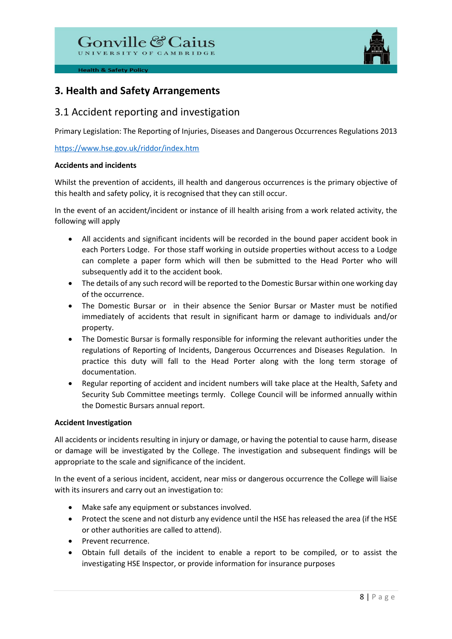

# **3. Health and Safety Arrangements**

# 3.1 Accident reporting and investigation

Primary Legislation: The Reporting of Injuries, Diseases and Dangerous Occurrences Regulations 2013

<https://www.hse.gov.uk/riddor/index.htm>

# **Accidents and incidents**

Whilst the prevention of accidents, ill health and dangerous occurrences is the primary objective of this health and safety policy, it is recognised that they can still occur.

In the event of an accident/incident or instance of ill health arising from a work related activity, the following will apply

- All accidents and significant incidents will be recorded in the bound paper accident book in each Porters Lodge. For those staff working in outside properties without access to a Lodge can complete a paper form which will then be submitted to the Head Porter who will subsequently add it to the accident book.
- The details of any such record will be reported to the Domestic Bursar within one working day of the occurrence.
- The Domestic Bursar or in their absence the Senior Bursar or Master must be notified immediately of accidents that result in significant harm or damage to individuals and/or property.
- The Domestic Bursar is formally responsible for informing the relevant authorities under the regulations of Reporting of Incidents, Dangerous Occurrences and Diseases Regulation. In practice this duty will fall to the Head Porter along with the long term storage of documentation.
- Regular reporting of accident and incident numbers will take place at the Health, Safety and Security Sub Committee meetings termly. College Council will be informed annually within the Domestic Bursars annual report.

# **Accident Investigation**

All accidents or incidents resulting in injury or damage, or having the potential to cause harm, disease or damage will be investigated by the College. The investigation and subsequent findings will be appropriate to the scale and significance of the incident.

In the event of a serious incident, accident, near miss or dangerous occurrence the College will liaise with its insurers and carry out an investigation to:

- Make safe any equipment or substances involved.
- Protect the scene and not disturb any evidence until the HSE has released the area (if the HSE or other authorities are called to attend).
- Prevent recurrence.
- Obtain full details of the incident to enable a report to be compiled, or to assist the investigating HSE Inspector, or provide information for insurance purposes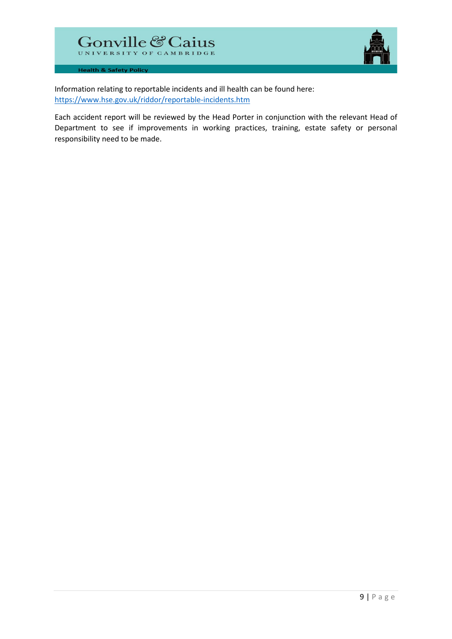

Information relating to reportable incidents and ill health can be found here: <https://www.hse.gov.uk/riddor/reportable-incidents.htm>

Each accident report will be reviewed by the Head Porter in conjunction with the relevant Head of Department to see if improvements in working practices, training, estate safety or personal responsibility need to be made.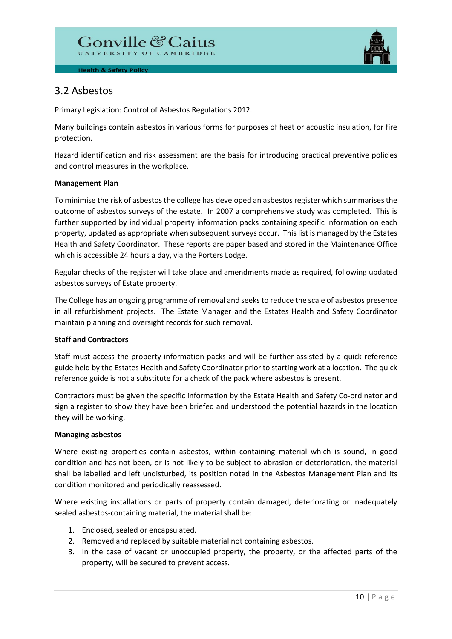

# 3.2 Asbestos

Primary Legislation: Control of Asbestos Regulations 2012.

Many buildings contain asbestos in various forms for purposes of heat or acoustic insulation, for fire protection.

Hazard identification and risk assessment are the basis for introducing practical preventive policies and control measures in the workplace.

# **Management Plan**

To minimise the risk of asbestos the college has developed an asbestos register which summarises the outcome of asbestos surveys of the estate. In 2007 a comprehensive study was completed. This is further supported by individual property information packs containing specific information on each property, updated as appropriate when subsequent surveys occur. This list is managed by the Estates Health and Safety Coordinator. These reports are paper based and stored in the Maintenance Office which is accessible 24 hours a day, via the Porters Lodge.

Regular checks of the register will take place and amendments made as required, following updated asbestos surveys of Estate property.

The College has an ongoing programme of removal and seeks to reduce the scale of asbestos presence in all refurbishment projects. The Estate Manager and the Estates Health and Safety Coordinator maintain planning and oversight records for such removal.

# **Staff and Contractors**

Staff must access the property information packs and will be further assisted by a quick reference guide held by the Estates Health and Safety Coordinator prior to starting work at a location. The quick reference guide is not a substitute for a check of the pack where asbestos is present.

Contractors must be given the specific information by the Estate Health and Safety Co-ordinator and sign a register to show they have been briefed and understood the potential hazards in the location they will be working.

# **Managing asbestos**

Where existing properties contain asbestos, within containing material which is sound, in good condition and has not been, or is not likely to be subject to abrasion or deterioration, the material shall be labelled and left undisturbed, its position noted in the Asbestos Management Plan and its condition monitored and periodically reassessed.

Where existing installations or parts of property contain damaged, deteriorating or inadequately sealed asbestos-containing material, the material shall be:

- 1. Enclosed, sealed or encapsulated.
- 2. Removed and replaced by suitable material not containing asbestos.
- 3. In the case of vacant or unoccupied property, the property, or the affected parts of the property, will be secured to prevent access.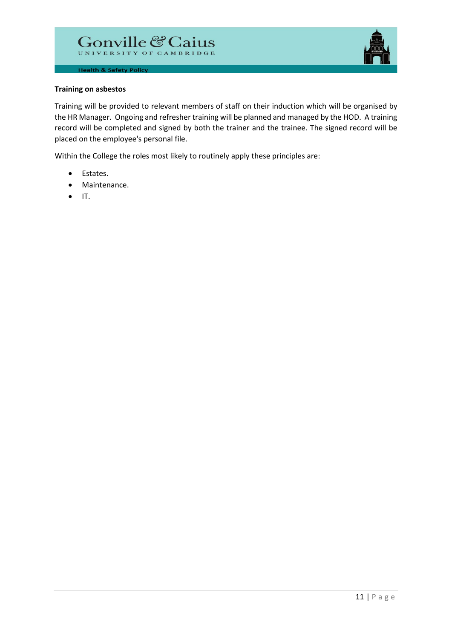

#### **Training on asbestos**

Training will be provided to relevant members of staff on their induction which will be organised by the HR Manager. Ongoing and refresher training will be planned and managed by the HOD. A training record will be completed and signed by both the trainer and the trainee. The signed record will be placed on the employee's personal file.

Within the College the roles most likely to routinely apply these principles are:

- Estates.
- Maintenance.
- $\bullet$  IT.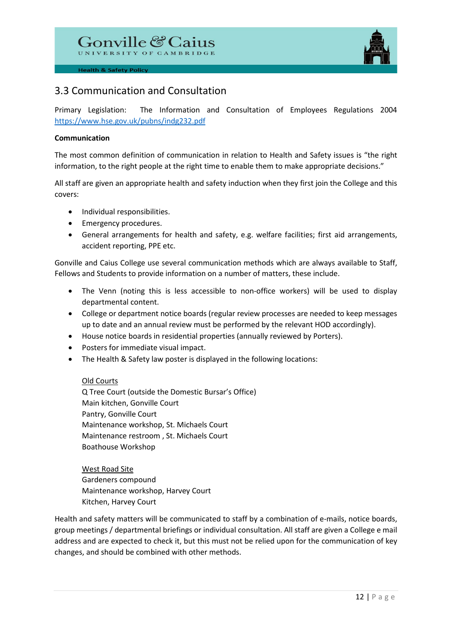

# 3.3 Communication and Consultation

Primary Legislation: The Information and Consultation of Employees Regulations 2004 <https://www.hse.gov.uk/pubns/indg232.pdf>

#### **Communication**

The most common definition of communication in relation to Health and Safety issues is "the right information, to the right people at the right time to enable them to make appropriate decisions."

All staff are given an appropriate health and safety induction when they first join the College and this covers:

- Individual responsibilities.
- Emergency procedures.
- General arrangements for health and safety, e.g. welfare facilities; first aid arrangements, accident reporting, PPE etc.

Gonville and Caius College use several communication methods which are always available to Staff, Fellows and Students to provide information on a number of matters, these include.

- The Venn (noting this is less accessible to non-office workers) will be used to display departmental content.
- College or department notice boards (regular review processes are needed to keep messages up to date and an annual review must be performed by the relevant HOD accordingly).
- House notice boards in residential properties (annually reviewed by Porters).
- Posters for immediate visual impact.
- The Health & Safety law poster is displayed in the following locations:

Old Courts

Q Tree Court (outside the Domestic Bursar's Office) Main kitchen, Gonville Court Pantry, Gonville Court Maintenance workshop, St. Michaels Court Maintenance restroom , St. Michaels Court Boathouse Workshop

West Road Site Gardeners compound Maintenance workshop, Harvey Court Kitchen, Harvey Court

Health and safety matters will be communicated to staff by a combination of e-mails, notice boards, group meetings / departmental briefings or individual consultation. All staff are given a College e mail address and are expected to check it, but this must not be relied upon for the communication of key changes, and should be combined with other methods.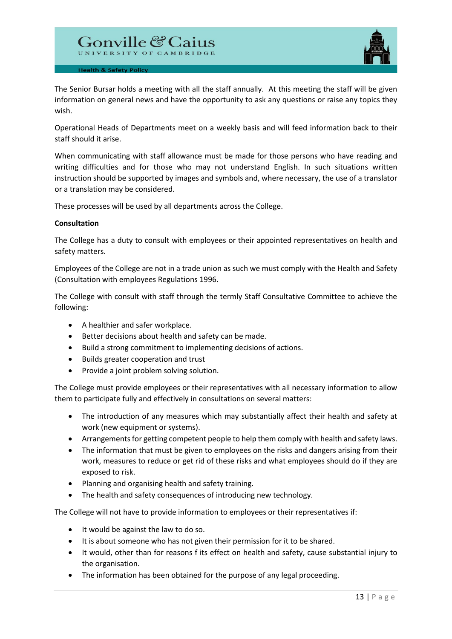

The Senior Bursar holds a meeting with all the staff annually. At this meeting the staff will be given information on general news and have the opportunity to ask any questions or raise any topics they wish.

Operational Heads of Departments meet on a weekly basis and will feed information back to their staff should it arise.

When communicating with staff allowance must be made for those persons who have reading and writing difficulties and for those who may not understand English. In such situations written instruction should be supported by images and symbols and, where necessary, the use of a translator or a translation may be considered.

These processes will be used by all departments across the College.

#### **Consultation**

The College has a duty to consult with employees or their appointed representatives on health and safety matters.

Employees of the College are not in a trade union as such we must comply with the Health and Safety (Consultation with employees Regulations 1996.

The College with consult with staff through the termly Staff Consultative Committee to achieve the following:

- A healthier and safer workplace.
- Better decisions about health and safety can be made.
- Build a strong commitment to implementing decisions of actions.
- Builds greater cooperation and trust
- Provide a joint problem solving solution.

The College must provide employees or their representatives with all necessary information to allow them to participate fully and effectively in consultations on several matters:

- The introduction of any measures which may substantially affect their health and safety at work (new equipment or systems).
- Arrangements for getting competent people to help them comply with health and safety laws.
- The information that must be given to employees on the risks and dangers arising from their work, measures to reduce or get rid of these risks and what employees should do if they are exposed to risk.
- Planning and organising health and safety training.
- The health and safety consequences of introducing new technology.

The College will not have to provide information to employees or their representatives if:

- It would be against the law to do so.
- It is about someone who has not given their permission for it to be shared.
- It would, other than for reasons f its effect on health and safety, cause substantial injury to the organisation.
- The information has been obtained for the purpose of any legal proceeding.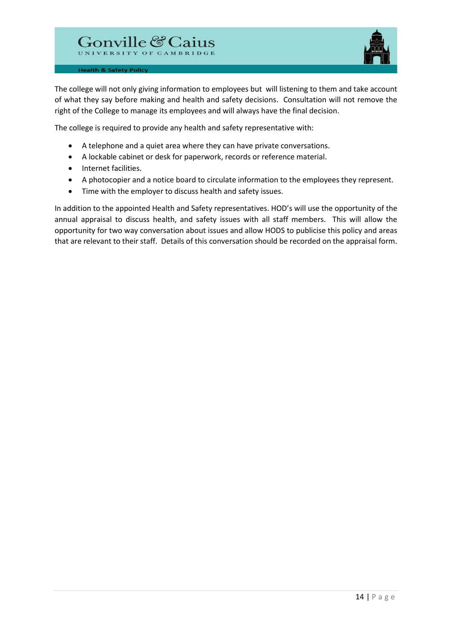

The college will not only giving information to employees but will listening to them and take account of what they say before making and health and safety decisions. Consultation will not remove the right of the College to manage its employees and will always have the final decision.

The college is required to provide any health and safety representative with:

- A telephone and a quiet area where they can have private conversations.
- A lockable cabinet or desk for paperwork, records or reference material.
- Internet facilities.
- A photocopier and a notice board to circulate information to the employees they represent.
- Time with the employer to discuss health and safety issues.

In addition to the appointed Health and Safety representatives. HOD's will use the opportunity of the annual appraisal to discuss health, and safety issues with all staff members. This will allow the opportunity for two way conversation about issues and allow HODS to publicise this policy and areas that are relevant to their staff. Details of this conversation should be recorded on the appraisal form.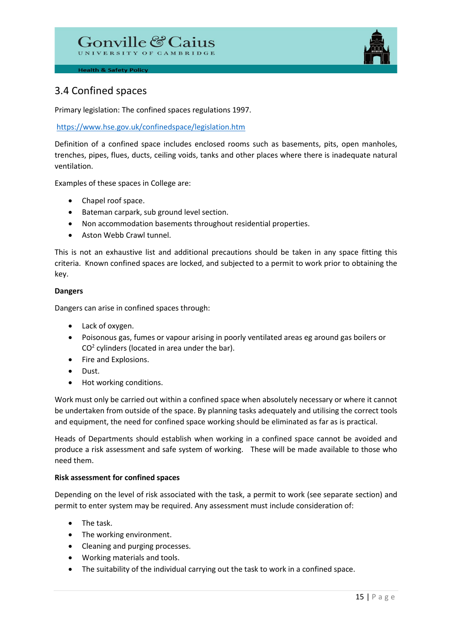

# 3.4 Confined spaces

Primary legislation: The confined spaces regulations 1997.

# <https://www.hse.gov.uk/confinedspace/legislation.htm>

Definition of a confined space includes enclosed rooms such as basements, pits, open manholes, trenches, pipes, flues, ducts, ceiling voids, tanks and other places where there is inadequate natural ventilation.

Examples of these spaces in College are:

- Chapel roof space.
- Bateman carpark, sub ground level section.
- Non accommodation basements throughout residential properties.
- Aston Webb Crawl tunnel.

This is not an exhaustive list and additional precautions should be taken in any space fitting this criteria. Known confined spaces are locked, and subjected to a permit to work prior to obtaining the key.

# **Dangers**

Dangers can arise in confined spaces through:

- Lack of oxygen.
- Poisonous gas, fumes or vapour arising in poorly ventilated areas eg around gas boilers or  $CO<sup>2</sup>$  cylinders (located in area under the bar).
- Fire and Explosions.
- Dust.
- Hot working conditions.

Work must only be carried out within a confined space when absolutely necessary or where it cannot be undertaken from outside of the space. By planning tasks adequately and utilising the correct tools and equipment, the need for confined space working should be eliminated as far as is practical.

Heads of Departments should establish when working in a confined space cannot be avoided and produce a risk assessment and safe system of working. These will be made available to those who need them.

# **Risk assessment for confined spaces**

Depending on the level of risk associated with the task, a permit to work (see separate section) and permit to enter system may be required. Any assessment must include consideration of:

- The task.
- The working environment.
- Cleaning and purging processes.
- Working materials and tools.
- The suitability of the individual carrying out the task to work in a confined space.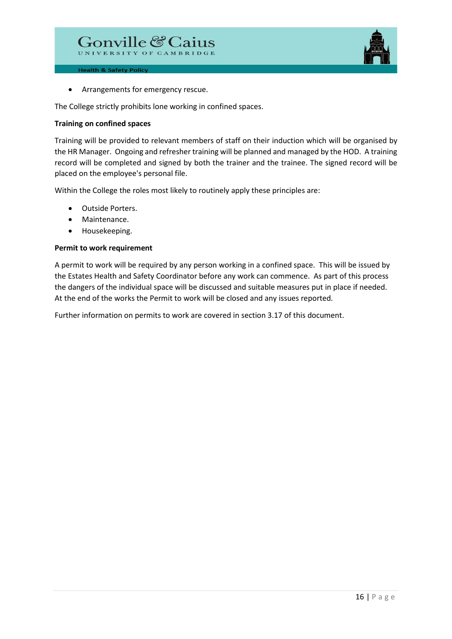

• Arrangements for emergency rescue.

The College strictly prohibits lone working in confined spaces.

#### **Training on confined spaces**

Training will be provided to relevant members of staff on their induction which will be organised by the HR Manager. Ongoing and refresher training will be planned and managed by the HOD. A training record will be completed and signed by both the trainer and the trainee. The signed record will be placed on the employee's personal file.

Within the College the roles most likely to routinely apply these principles are:

- Outside Porters.
- Maintenance.
- Housekeeping.

#### **Permit to work requirement**

A permit to work will be required by any person working in a confined space. This will be issued by the Estates Health and Safety Coordinator before any work can commence. As part of this process the dangers of the individual space will be discussed and suitable measures put in place if needed. At the end of the works the Permit to work will be closed and any issues reported.

Further information on permits to work are covered in section 3.17 of this document.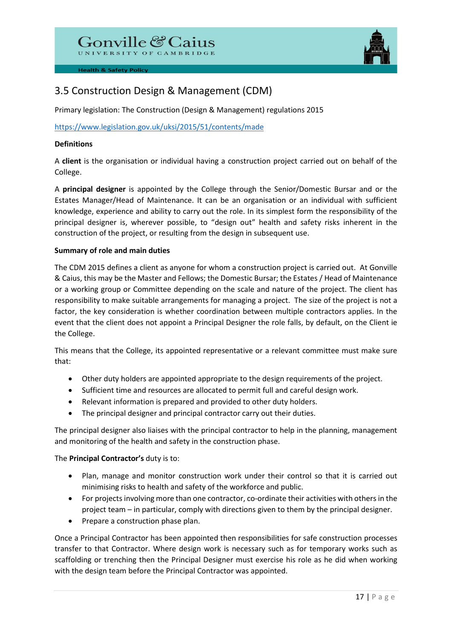# Gonville & Caius



# 3.5 Construction Design & Management (CDM)

Primary legislation: The Construction (Design & Management) regulations 2015

<https://www.legislation.gov.uk/uksi/2015/51/contents/made>

# **Definitions**

A **client** is the organisation or individual having a construction project carried out on behalf of the College.

A **principal designer** is appointed by the College through the Senior/Domestic Bursar and or the Estates Manager/Head of Maintenance. It can be an organisation or an individual with sufficient knowledge, experience and ability to carry out the role. In its simplest form the responsibility of the principal designer is, wherever possible, to "design out" health and safety risks inherent in the construction of the project, or resulting from the design in subsequent use.

# **Summary of role and main duties**

The CDM 2015 defines a client as anyone for whom a construction project is carried out. At Gonville & Caius, this may be the Master and Fellows; the Domestic Bursar; the Estates / Head of Maintenance or a working group or Committee depending on the scale and nature of the project. The client has responsibility to make suitable arrangements for managing a project. The size of the project is not a factor, the key consideration is whether coordination between multiple contractors applies. In the event that the client does not appoint a Principal Designer the role falls, by default, on the Client ie the College.

This means that the College, its appointed representative or a relevant committee must make sure that:

- Other duty holders are appointed appropriate to the design requirements of the project.
- Sufficient time and resources are allocated to permit full and careful design work.
- Relevant information is prepared and provided to other duty holders.
- The principal designer and principal contractor carry out their duties.

The principal designer also liaises with the principal contractor to help in the planning, management and monitoring of the health and safety in the construction phase.

# The **Principal Contractor's** duty is to:

- Plan, manage and monitor construction work under their control so that it is carried out minimising risks to health and safety of the workforce and public.
- For projects involving more than one contractor, co-ordinate their activities with others in the project team – in particular, comply with directions given to them by the principal designer.
- Prepare a construction phase plan.

Once a Principal Contractor has been appointed then responsibilities for safe construction processes transfer to that Contractor. Where design work is necessary such as for temporary works such as scaffolding or trenching then the Principal Designer must exercise his role as he did when working with the design team before the Principal Contractor was appointed.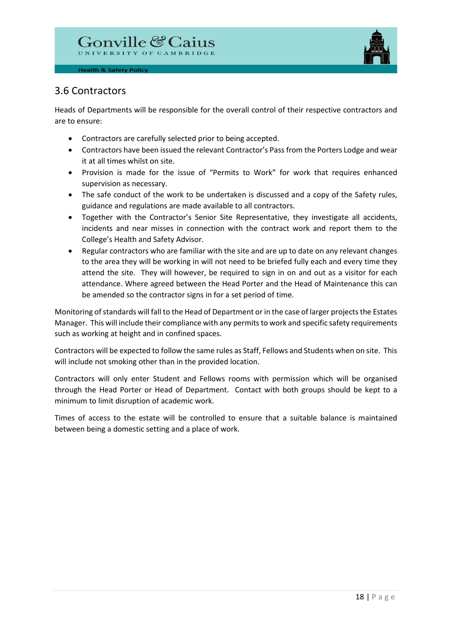

# 3.6 Contractors

Heads of Departments will be responsible for the overall control of their respective contractors and are to ensure:

- Contractors are carefully selected prior to being accepted.
- Contractors have been issued the relevant Contractor's Pass from the Porters Lodge and wear it at all times whilst on site.
- Provision is made for the issue of "Permits to Work" for work that requires enhanced supervision as necessary.
- The safe conduct of the work to be undertaken is discussed and a copy of the Safety rules, guidance and regulations are made available to all contractors.
- Together with the Contractor's Senior Site Representative, they investigate all accidents, incidents and near misses in connection with the contract work and report them to the College's Health and Safety Advisor.
- Regular contractors who are familiar with the site and are up to date on any relevant changes to the area they will be working in will not need to be briefed fully each and every time they attend the site. They will however, be required to sign in on and out as a visitor for each attendance. Where agreed between the Head Porter and the Head of Maintenance this can be amended so the contractor signs in for a set period of time.

Monitoring of standards will fall to the Head of Department or in the case of larger projects the Estates Manager. This will include their compliance with any permits to work and specific safety requirements such as working at height and in confined spaces.

Contractors will be expected to follow the same rules as Staff, Fellows and Students when on site. This will include not smoking other than in the provided location.

Contractors will only enter Student and Fellows rooms with permission which will be organised through the Head Porter or Head of Department. Contact with both groups should be kept to a minimum to limit disruption of academic work.

Times of access to the estate will be controlled to ensure that a suitable balance is maintained between being a domestic setting and a place of work.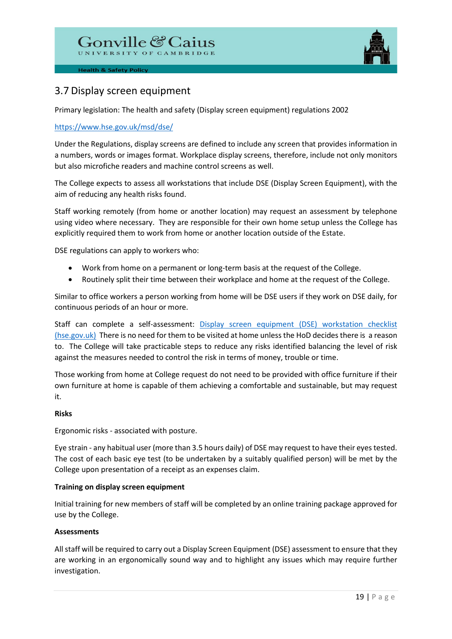

# 3.7 Display screen equipment

Primary legislation: The health and safety (Display screen equipment) regulations 2002

# <https://www.hse.gov.uk/msd/dse/>

Under the Regulations, display screens are defined to include any screen that provides information in a numbers, words or images format. Workplace display screens, therefore, include not only monitors but also microfiche readers and machine control screens as well.

The College expects to assess all workstations that include DSE (Display Screen Equipment), with the aim of reducing any health risks found.

Staff working remotely (from home or another location) may request an assessment by telephone using video where necessary. They are responsible for their own home setup unless the College has explicitly required them to work from home or another location outside of the Estate.

DSE regulations can apply to workers who:

- Work from home on a permanent or long-term basis at the request of the College.
- Routinely split their time between their workplace and home at the request of the College.

Similar to office workers a person working from home will be DSE users if they work on DSE daily, for continuous periods of an hour or more.

Staff can complete a self-assessment: Display screen equipment (DSE) workstation checklist [\(hse.gov.uk\)](https://www.hse.gov.uk/pubns/ck1.pdf) There is no need for them to be visited at home unless the HoD decides there is a reason to. The College will take practicable steps to reduce any risks identified balancing the level of risk against the measures needed to control the risk in terms of money, trouble or time.

Those working from home at College request do not need to be provided with office furniture if their own furniture at home is capable of them achieving a comfortable and sustainable, but may request it.

#### **Risks**

Ergonomic risks - associated with posture.

Eye strain - any habitual user (more than 3.5 hours daily) of DSE may request to have their eyes tested. The cost of each basic eye test (to be undertaken by a suitably qualified person) will be met by the College upon presentation of a receipt as an expenses claim.

# **Training on display screen equipment**

Initial training for new members of staff will be completed by an online training package approved for use by the College.

# **Assessments**

All staff will be required to carry out a Display Screen Equipment (DSE) assessment to ensure that they are working in an ergonomically sound way and to highlight any issues which may require further investigation.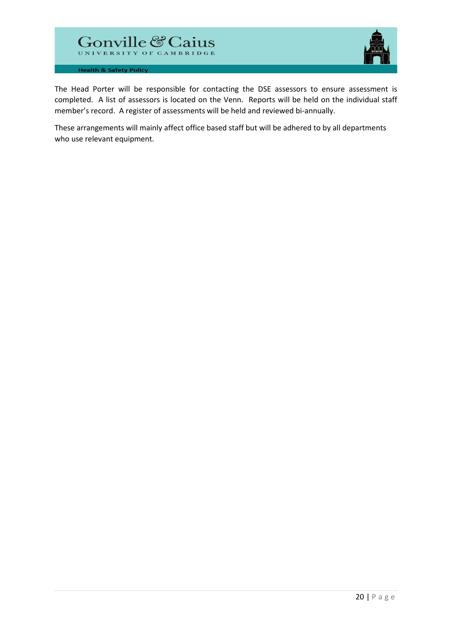

The Head Porter will be responsible for contacting the DSE assessors to ensure assessment is completed. A list of assessors is located on the Venn. Reports will be held on the individual staff member's record. A register of assessments will be held and reviewed bi-annually.

These arrangements will mainly affect office based staff but will be adhered to by all departments who use relevant equipment.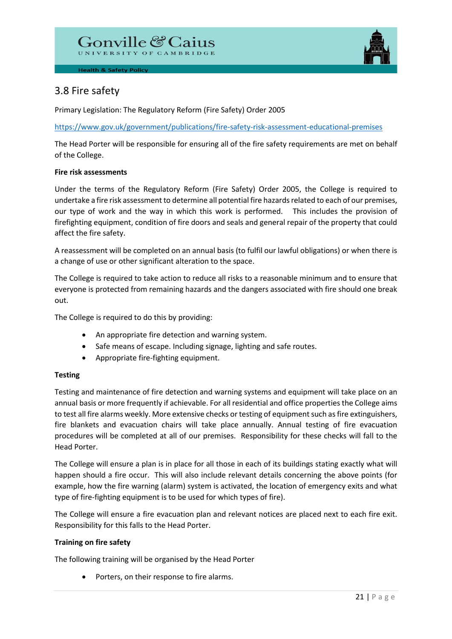

# 3.8 Fire safety

Primary Legislation: The Regulatory Reform (Fire Safety) Order 2005

<https://www.gov.uk/government/publications/fire-safety-risk-assessment-educational-premises>

The Head Porter will be responsible for ensuring all of the fire safety requirements are met on behalf of the College.

# **Fire risk assessments**

Under the terms of the Regulatory Reform (Fire Safety) Order 2005, the College is required to undertake a fire risk assessment to determine all potential fire hazards related to each of our premises, our type of work and the way in which this work is performed. This includes the provision of firefighting equipment, condition of fire doors and seals and general repair of the property that could affect the fire safety.

A reassessment will be completed on an annual basis (to fulfil our lawful obligations) or when there is a change of use or other significant alteration to the space.

The College is required to take action to reduce all risks to a reasonable minimum and to ensure that everyone is protected from remaining hazards and the dangers associated with fire should one break out.

The College is required to do this by providing:

- An appropriate fire detection and warning system.
- Safe means of escape. Including signage, lighting and safe routes.
- Appropriate fire-fighting equipment.

# **Testing**

Testing and maintenance of fire detection and warning systems and equipment will take place on an annual basis or more frequently if achievable. For all residential and office properties the College aims to test all fire alarms weekly. More extensive checks or testing of equipment such as fire extinguishers, fire blankets and evacuation chairs will take place annually. Annual testing of fire evacuation procedures will be completed at all of our premises. Responsibility for these checks will fall to the Head Porter.

The College will ensure a plan is in place for all those in each of its buildings stating exactly what will happen should a fire occur. This will also include relevant details concerning the above points (for example, how the fire warning (alarm) system is activated, the location of emergency exits and what type of fire-fighting equipment is to be used for which types of fire).

The College will ensure a fire evacuation plan and relevant notices are placed next to each fire exit. Responsibility for this falls to the Head Porter.

# **Training on fire safety**

The following training will be organised by the Head Porter

• Porters, on their response to fire alarms.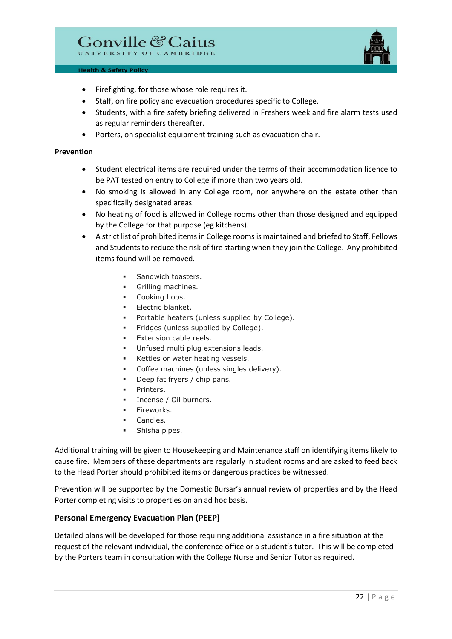

- Firefighting, for those whose role requires it.
- Staff, on fire policy and evacuation procedures specific to College.
- Students, with a fire safety briefing delivered in Freshers week and fire alarm tests used as regular reminders thereafter.
- Porters, on specialist equipment training such as evacuation chair.

#### **Prevention**

- Student electrical items are required under the terms of their accommodation licence to be PAT tested on entry to College if more than two years old.
- No smoking is allowed in any College room, nor anywhere on the estate other than specifically designated areas.
- No heating of food is allowed in College rooms other than those designed and equipped by the College for that purpose (eg kitchens).
- A strict list of prohibited items in College rooms is maintained and briefed to Staff, Fellows and Students to reduce the risk of fire starting when they join the College. Any prohibited items found will be removed.
	- Sandwich toasters.
	- **Grilling machines.**
	- Cooking hobs.
	- Electric blanket.
	- Portable heaters (unless supplied by College).
	- Fridges (unless supplied by College).
	- Extension cable reels.
	- Unfused multi plug extensions leads.
	- Kettles or water heating vessels.
	- Coffee machines (unless singles delivery).
	- Deep fat fryers / chip pans.
	- Printers.
	- Incense / Oil burners.
	- Fireworks.
	- Candles.
	- Shisha pipes.

Additional training will be given to Housekeeping and Maintenance staff on identifying items likely to cause fire. Members of these departments are regularly in student rooms and are asked to feed back to the Head Porter should prohibited items or dangerous practices be witnessed.

Prevention will be supported by the Domestic Bursar's annual review of properties and by the Head Porter completing visits to properties on an ad hoc basis.

# **Personal Emergency Evacuation Plan (PEEP)**

Detailed plans will be developed for those requiring additional assistance in a fire situation at the request of the relevant individual, the conference office or a student's tutor. This will be completed by the Porters team in consultation with the College Nurse and Senior Tutor as required.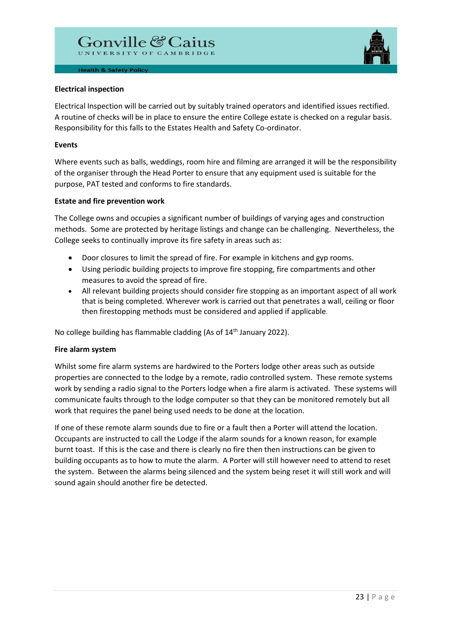

#### **Electrical inspection**

Electrical Inspection will be carried out by suitably trained operators and identified issues rectified. A routine of checks will be in place to ensure the entire College estate is checked on a regular basis. Responsibility for this falls to the Estates Health and Safety Co-ordinator.

# **Events**

Where events such as balls, weddings, room hire and filming are arranged it will be the responsibility of the organiser through the Head Porter to ensure that any equipment used is suitable for the purpose, PAT tested and conforms to fire standards.

# **Estate and fire prevention work**

The College owns and occupies a significant number of buildings of varying ages and construction methods. Some are protected by heritage listings and change can be challenging. Nevertheless, the College seeks to continually improve its fire safety in areas such as:

- Door closures to limit the spread of fire. For example in kitchens and gyp rooms.
- Using periodic building projects to improve fire stopping, fire compartments and other measures to avoid the spread of fire.
- All relevant building projects should consider fire stopping as an important aspect of all work that is being completed. Wherever work is carried out that penetrates a wall, ceiling or floor then firestopping methods must be considered and applied if applicable.

No college building has flammable cladding (As of 14<sup>th</sup> January 2022).

#### **Fire alarm system**

Whilst some fire alarm systems are hardwired to the Porters lodge other areas such as outside properties are connected to the lodge by a remote, radio controlled system. These remote systems work by sending a radio signal to the Porters lodge when a fire alarm is activated. These systems will communicate faults through to the lodge computer so that they can be monitored remotely but all work that requires the panel being used needs to be done at the location.

If one of these remote alarm sounds due to fire or a fault then a Porter will attend the location. Occupants are instructed to call the Lodge if the alarm sounds for a known reason, for example burnt toast. If this is the case and there is clearly no fire then then instructions can be given to building occupants as to how to mute the alarm. A Porter will still however need to attend to reset the system. Between the alarms being silenced and the system being reset it will still work and will sound again should another fire be detected.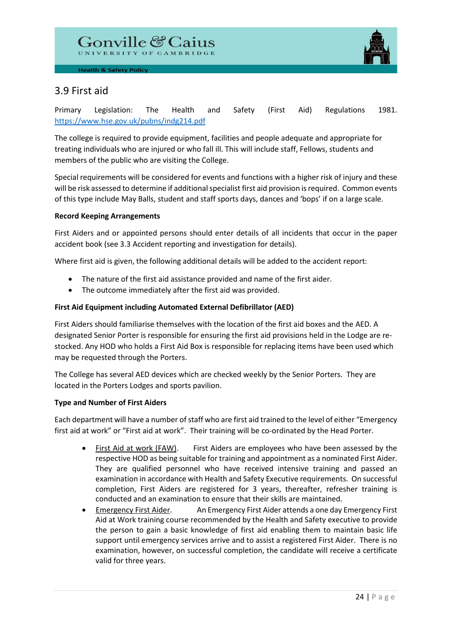

# 3.9 First aid

Primary Legislation: The Health and Safety (First Aid) Regulations 1981. <https://www.hse.gov.uk/pubns/indg214.pdf>

The college is required to provide equipment, facilities and people adequate and appropriate for treating individuals who are injured or who fall ill. This will include staff, Fellows, students and members of the public who are visiting the College.

Special requirements will be considered for events and functions with a higher risk of injury and these will be risk assessed to determine if additional specialist first aid provision is required. Common events of this type include May Balls, student and staff sports days, dances and 'bops' if on a large scale.

# **Record Keeping Arrangements**

First Aiders and or appointed persons should enter details of all incidents that occur in the paper accident book (see 3.3 Accident reporting and investigation for details).

Where first aid is given, the following additional details will be added to the accident report:

- The nature of the first aid assistance provided and name of the first aider.
- The outcome immediately after the first aid was provided.

# **First Aid Equipment including Automated External Defibrillator (AED)**

First Aiders should familiarise themselves with the location of the first aid boxes and the AED. A designated Senior Porter is responsible for ensuring the first aid provisions held in the Lodge are restocked. Any HOD who holds a First Aid Box is responsible for replacing items have been used which may be requested through the Porters.

The College has several AED devices which are checked weekly by the Senior Porters. They are located in the Porters Lodges and sports pavilion.

# **Type and Number of First Aiders**

Each department will have a number of staff who are first aid trained to the level of either "Emergency first aid at work" or "First aid at work". Their training will be co-ordinated by the Head Porter.

- First Aid at work (FAW). First Aiders are employees who have been assessed by the respective HOD as being suitable for training and appointment as a nominated First Aider. They are qualified personnel who have received intensive training and passed an examination in accordance with Health and Safety Executive requirements. On successful completion, First Aiders are registered for 3 years, thereafter, refresher training is conducted and an examination to ensure that their skills are maintained.
- Emergency First Aider. An Emergency First Aider attends a one day Emergency First Aid at Work training course recommended by the Health and Safety executive to provide the person to gain a basic knowledge of first aid enabling them to maintain basic life support until emergency services arrive and to assist a registered First Aider. There is no examination, however, on successful completion, the candidate will receive a certificate valid for three years.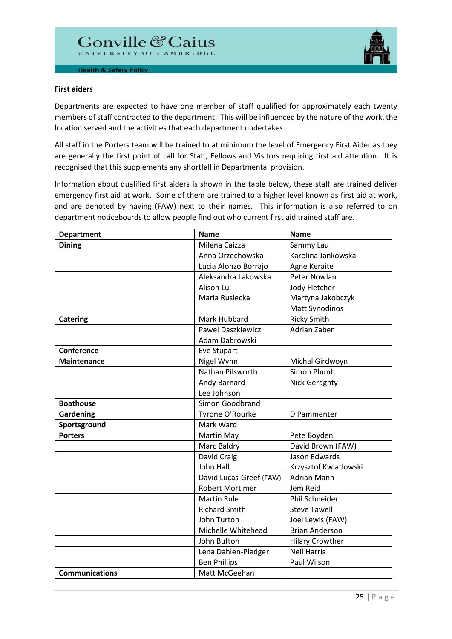

#### **First aiders**

Departments are expected to have one member of staff qualified for approximately each twenty members of staff contracted to the department. This will be influenced by the nature of the work, the location served and the activities that each department undertakes.

All staff in the Porters team will be trained to at minimum the level of Emergency First Aider as they are generally the first point of call for Staff, Fellows and Visitors requiring first aid attention. It is recognised that this supplements any shortfall in Departmental provision.

Information about qualified first aiders is shown in the table below, these staff are trained deliver emergency first aid at work. Some of them are trained to a higher level known as first aid at work, and are denoted by having (FAW) next to their names. This information is also referred to on department noticeboards to allow people find out who current first aid trained staff are.

| <b>Department</b>     | <b>Name</b>              | <b>Name</b>            |
|-----------------------|--------------------------|------------------------|
| <b>Dining</b>         | Milena Caizza            | Sammy Lau              |
|                       | Anna Orzechowska         | Karolina Jankowska     |
|                       | Lucia Alonzo Borrajo     | Agne Keraite           |
|                       | Aleksandra Lakowska      | <b>Peter Nowlan</b>    |
|                       | Alison Lu                | Jody Fletcher          |
|                       | Maria Rusiecka           | Martyna Jakobczyk      |
|                       |                          | <b>Matt Synodinos</b>  |
| <b>Catering</b>       | Mark Hubbard             | <b>Ricky Smith</b>     |
|                       | <b>Pawel Daszkiewicz</b> | Adrian Zaber           |
|                       | Adam Dabrowski           |                        |
| Conference            | Eve Stupart              |                        |
| <b>Maintenance</b>    | Nigel Wynn               | Michal Girdwoyn        |
|                       | Nathan Pilsworth         | Simon Plumb            |
|                       | Andy Barnard             | <b>Nick Geraghty</b>   |
|                       | Lee Johnson              |                        |
| <b>Boathouse</b>      | Simon Goodbrand          |                        |
| <b>Gardening</b>      | Tyrone O'Rourke          | D Pammenter            |
| Sportsground          | Mark Ward                |                        |
| <b>Porters</b>        | Martin May               | Pete Boyden            |
|                       | Marc Baldry              | David Brown (FAW)      |
|                       | David Craig              | Jason Edwards          |
|                       | John Hall                | Krzysztof Kwiatlowski  |
|                       | David Lucas-Greef (FAW)  | <b>Adrian Mann</b>     |
|                       | <b>Robert Mortimer</b>   | Jem Reid               |
|                       | <b>Martin Rule</b>       | Phil Schneider         |
|                       | <b>Richard Smith</b>     | <b>Steve Tawell</b>    |
|                       | John Turton              | Joel Lewis (FAW)       |
|                       | Michelle Whitehead       | <b>Brian Anderson</b>  |
|                       | John Bufton              | <b>Hilary Crowther</b> |
|                       | Lena Dahlen-Pledger      | <b>Neil Harris</b>     |
|                       | <b>Ben Phillips</b>      | Paul Wilson            |
| <b>Communications</b> | Matt McGeehan            |                        |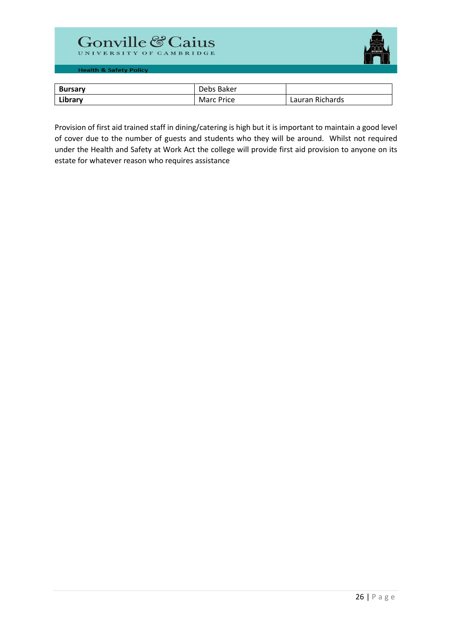# Gonville & Caius



**Health & Safety Policy** 

| <b>Bursary</b> | Debs Baker        |                 |
|----------------|-------------------|-----------------|
| Library        | <b>Marc Price</b> | Lauran Richards |

Provision of first aid trained staff in dining/catering is high but it is important to maintain a good level of cover due to the number of guests and students who they will be around. Whilst not required under the Health and Safety at Work Act the college will provide first aid provision to anyone on its estate for whatever reason who requires assistance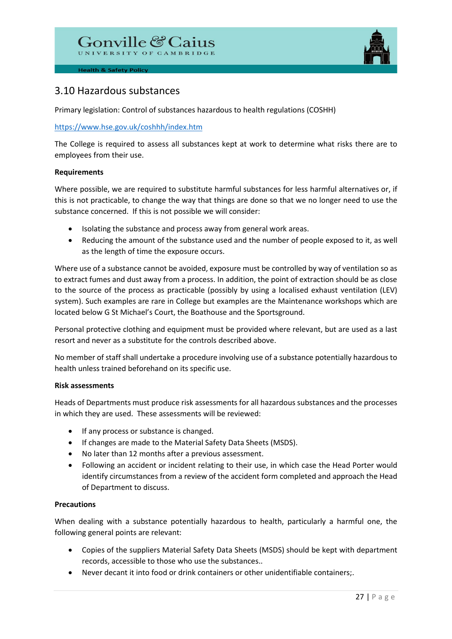# Gonville & Caius



**Health & Safety Policy** 

# 3.10 Hazardous substances

Primary legislation: Control of substances hazardous to health regulations (COSHH)

# <https://www.hse.gov.uk/coshhh/index.htm>

The College is required to assess all substances kept at work to determine what risks there are to employees from their use.

# **Requirements**

Where possible, we are required to substitute harmful substances for less harmful alternatives or, if this is not practicable, to change the way that things are done so that we no longer need to use the substance concerned. If this is not possible we will consider:

- Isolating the substance and process away from general work areas.
- Reducing the amount of the substance used and the number of people exposed to it, as well as the length of time the exposure occurs.

Where use of a substance cannot be avoided, exposure must be controlled by way of ventilation so as to extract fumes and dust away from a process. In addition, the point of extraction should be as close to the source of the process as practicable (possibly by using a localised exhaust ventilation (LEV) system). Such examples are rare in College but examples are the Maintenance workshops which are located below G St Michael's Court, the Boathouse and the Sportsground.

Personal protective clothing and equipment must be provided where relevant, but are used as a last resort and never as a substitute for the controls described above.

No member of staff shall undertake a procedure involving use of a substance potentially hazardous to health unless trained beforehand on its specific use.

# **Risk assessments**

Heads of Departments must produce risk assessments for all hazardous substances and the processes in which they are used. These assessments will be reviewed:

- If any process or substance is changed.
- If changes are made to the Material Safety Data Sheets (MSDS).
- No later than 12 months after a previous assessment.
- Following an accident or incident relating to their use, in which case the Head Porter would identify circumstances from a review of the accident form completed and approach the Head of Department to discuss.

# **Precautions**

When dealing with a substance potentially hazardous to health, particularly a harmful one, the following general points are relevant:

- Copies of the suppliers Material Safety Data Sheets (MSDS) should be kept with department records, accessible to those who use the substances..
- Never decant it into food or drink containers or other unidentifiable containers;.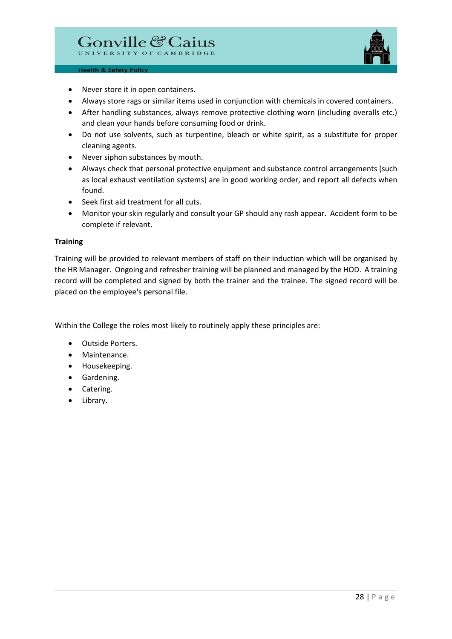

- Never store it in open containers.
- Always store rags or similar items used in conjunction with chemicals in covered containers.
- After handling substances, always remove protective clothing worn (including overalls etc.) and clean your hands before consuming food or drink.
- Do not use solvents, such as turpentine, bleach or white spirit, as a substitute for proper cleaning agents.
- Never siphon substances by mouth.
- Always check that personal protective equipment and substance control arrangements (such as local exhaust ventilation systems) are in good working order, and report all defects when found.
- Seek first aid treatment for all cuts.
- Monitor your skin regularly and consult your GP should any rash appear. Accident form to be complete if relevant.

#### **Training**

Training will be provided to relevant members of staff on their induction which will be organised by the HR Manager. Ongoing and refresher training will be planned and managed by the HOD. A training record will be completed and signed by both the trainer and the trainee. The signed record will be placed on the employee's personal file.

Within the College the roles most likely to routinely apply these principles are:

- Outside Porters.
- Maintenance.
- Housekeeping.
- Gardening.
- Catering.
- Library.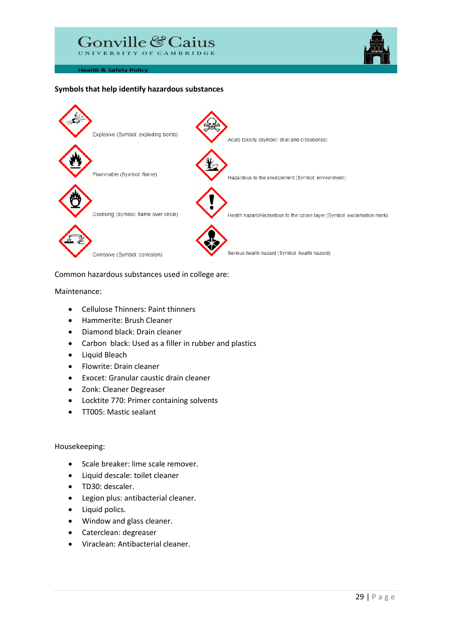

#### **Symbols that help identify hazardous substances**



Common hazardous substances used in college are:

Maintenance:

- Cellulose Thinners: Paint thinners
- Hammerite: Brush Cleaner
- Diamond black: Drain cleaner
- Carbon black: Used as a filler in rubber and plastics
- Liquid Bleach
- Flowrite: Drain cleaner
- Exocet: Granular caustic drain cleaner
- Zonk: Cleaner Degreaser
- Locktite 770: Primer containing solvents
- TT005: Mastic sealant

#### Housekeeping:

- Scale breaker: lime scale remover.
- Liquid descale: toilet cleaner
- TD30: descaler.
- Legion plus: antibacterial cleaner.
- Liquid polics.
- Window and glass cleaner.
- Caterclean: degreaser
- Viraclean: Antibacterial cleaner.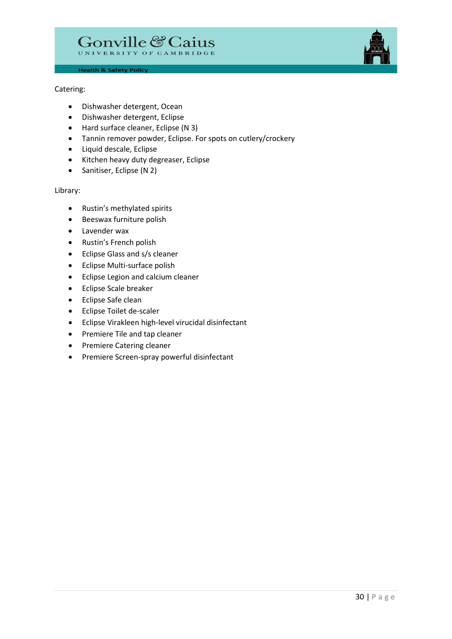

# Catering:

- Dishwasher detergent, Ocean
- Dishwasher detergent, Eclipse
- Hard surface cleaner, Eclipse (N 3)
- Tannin remover powder, Eclipse. For spots on cutlery/crockery
- Liquid descale, Eclipse
- Kitchen heavy duty degreaser, Eclipse
- Sanitiser, Eclipse (N 2)

#### Library:

- Rustin's methylated spirits
- Beeswax furniture polish
- Lavender wax
- Rustin's French polish
- Eclipse Glass and s/s cleaner
- Eclipse Multi-surface polish
- Eclipse Legion and calcium cleaner
- Eclipse Scale breaker
- Eclipse Safe clean
- Eclipse Toilet de-scaler
- Eclipse Virakleen high-level virucidal disinfectant
- Premiere Tile and tap cleaner
- Premiere Catering cleaner
- Premiere Screen-spray powerful disinfectant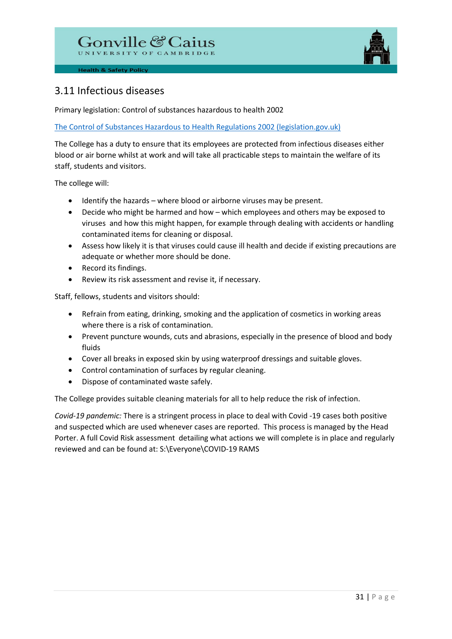# Gonville & Caius



**Health & Safety Policy** 

# 3.11 Infectious diseases

Primary legislation: Control of substances hazardous to health 2002

[The Control of Substances Hazardous to Health Regulations 2002 \(legislation.gov.uk\)](https://www.legislation.gov.uk/uksi/2002/2677/contents/made)

The College has a duty to ensure that its employees are protected from infectious diseases either blood or air borne whilst at work and will take all practicable steps to maintain the welfare of its staff, students and visitors.

The college will:

- Identify the hazards where blood or airborne viruses may be present.
- Decide who might be harmed and how which employees and others may be exposed to viruses and how this might happen, for example through dealing with accidents or handling contaminated items for cleaning or disposal.
- Assess how likely it is that viruses could cause ill health and decide if existing precautions are adequate or whether more should be done.
- Record its findings.
- Review its risk assessment and revise it, if necessary.

Staff, fellows, students and visitors should:

- Refrain from eating, drinking, smoking and the application of cosmetics in working areas where there is a risk of contamination.
- Prevent puncture wounds, cuts and abrasions, especially in the presence of blood and body fluids
- Cover all breaks in exposed skin by using waterproof dressings and suitable gloves.
- Control contamination of surfaces by regular cleaning.
- Dispose of contaminated waste safely.

The College provides suitable cleaning materials for all to help reduce the risk of infection.

*Covid-19 pandemic:* There is a stringent process in place to deal with Covid -19 cases both positive and suspected which are used whenever cases are reported. This process is managed by the Head Porter. A full Covid Risk assessment detailing what actions we will complete is in place and regularly reviewed and can be found at: S:\Everyone\COVID-19 RAMS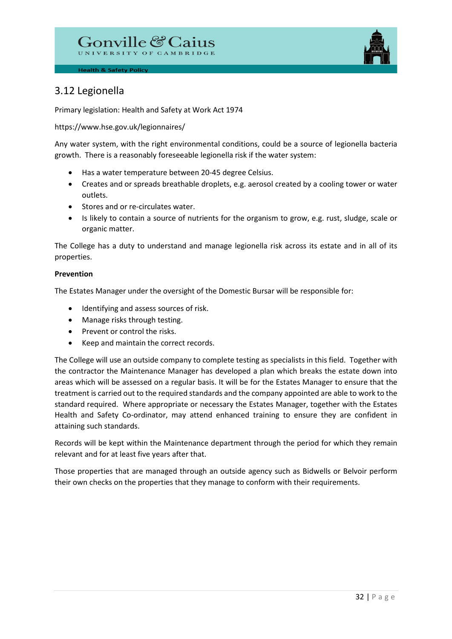

# 3.12 Legionella

Primary legislation: Health and Safety at Work Act 1974

https://www.hse.gov.uk/legionnaires/

Any water system, with the right environmental conditions, could be a source of legionella bacteria growth. There is a reasonably foreseeable legionella risk if the water system:

- Has a water temperature between 20-45 degree Celsius.
- Creates and or spreads breathable droplets, e.g. aerosol created by a cooling tower or water outlets.
- Stores and or re-circulates water.
- Is likely to contain a source of nutrients for the organism to grow, e.g. rust, sludge, scale or organic matter.

The College has a duty to understand and manage legionella risk across its estate and in all of its properties.

# **Prevention**

The Estates Manager under the oversight of the Domestic Bursar will be responsible for:

- Identifying and assess sources of risk.
- Manage risks through testing.
- Prevent or control the risks.
- Keep and maintain the correct records.

The College will use an outside company to complete testing as specialists in this field. Together with the contractor the Maintenance Manager has developed a plan which breaks the estate down into areas which will be assessed on a regular basis. It will be for the Estates Manager to ensure that the treatment is carried out to the required standards and the company appointed are able to work to the standard required. Where appropriate or necessary the Estates Manager, together with the Estates Health and Safety Co-ordinator, may attend enhanced training to ensure they are confident in attaining such standards.

Records will be kept within the Maintenance department through the period for which they remain relevant and for at least five years after that.

Those properties that are managed through an outside agency such as Bidwells or Belvoir perform their own checks on the properties that they manage to conform with their requirements.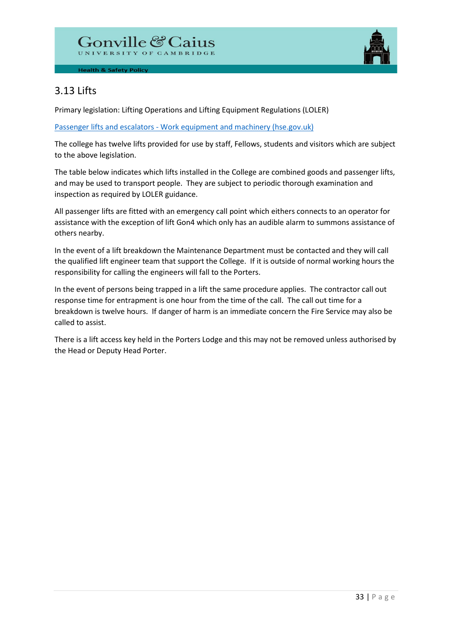

# 3.13 Lifts

Primary legislation: Lifting Operations and Lifting Equipment Regulations (LOLER)

[Passenger lifts and escalators - Work equipment and machinery \(hse.gov.uk\)](https://www.hse.gov.uk/work-equipment-machinery/passenger-lifts.htm)

The college has twelve lifts provided for use by staff, Fellows, students and visitors which are subject to the above legislation.

The table below indicates which lifts installed in the College are combined goods and passenger lifts, and may be used to transport people. They are subject to periodic thorough examination and inspection as required by LOLER guidance.

All passenger lifts are fitted with an emergency call point which eithers connects to an operator for assistance with the exception of lift Gon4 which only has an audible alarm to summons assistance of others nearby.

In the event of a lift breakdown the Maintenance Department must be contacted and they will call the qualified lift engineer team that support the College. If it is outside of normal working hours the responsibility for calling the engineers will fall to the Porters.

In the event of persons being trapped in a lift the same procedure applies. The contractor call out response time for entrapment is one hour from the time of the call. The call out time for a breakdown is twelve hours. If danger of harm is an immediate concern the Fire Service may also be called to assist.

There is a lift access key held in the Porters Lodge and this may not be removed unless authorised by the Head or Deputy Head Porter.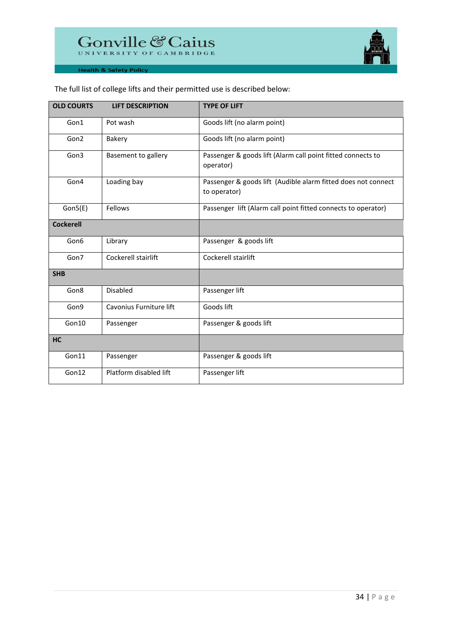

| <b>OLD COURTS</b> | <b>LIFT DESCRIPTION</b> | <b>TYPE OF LIFT</b>                                                           |
|-------------------|-------------------------|-------------------------------------------------------------------------------|
| Gon1              | Pot wash                | Goods lift (no alarm point)                                                   |
| Gon2              | Bakery                  | Goods lift (no alarm point)                                                   |
| Gon3              | Basement to gallery     | Passenger & goods lift (Alarm call point fitted connects to<br>operator)      |
| Gon4              | Loading bay             | Passenger & goods lift (Audible alarm fitted does not connect<br>to operator) |
| Gon5(E)           | Fellows                 | Passenger lift (Alarm call point fitted connects to operator)                 |
| <b>Cockerell</b>  |                         |                                                                               |
| Gon6              | Library                 | Passenger & goods lift                                                        |
| Gon7              | Cockerell stairlift     | Cockerell stairlift                                                           |
| <b>SHB</b>        |                         |                                                                               |
| Gon8              | <b>Disabled</b>         | Passenger lift                                                                |
| Gon9              | Cavonius Furniture lift | Goods lift                                                                    |
| Gon10             | Passenger               | Passenger & goods lift                                                        |
| <b>HC</b>         |                         |                                                                               |
| Gon11             | Passenger               | Passenger & goods lift                                                        |
| Gon12             | Platform disabled lift  | Passenger lift                                                                |

# The full list of college lifts and their permitted use is described below: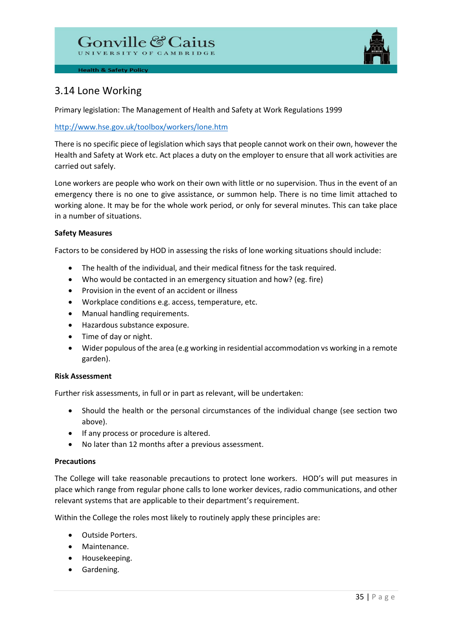

# 3.14 Lone Working

Primary legislation: The Management of Health and Safety at Work Regulations 1999

# <http://www.hse.gov.uk/toolbox/workers/lone.htm>

There is no specific piece of legislation which says that people cannot work on their own, however the Health and Safety at Work etc. Act places a duty on the employer to ensure that all work activities are carried out safely.

Lone workers are people who work on their own with little or no supervision. Thus in the event of an emergency there is no one to give assistance, or summon help. There is no time limit attached to working alone. It may be for the whole work period, or only for several minutes. This can take place in a number of situations.

# **Safety Measures**

Factors to be considered by HOD in assessing the risks of lone working situations should include:

- The health of the individual, and their medical fitness for the task required.
- Who would be contacted in an emergency situation and how? (eg. fire)
- Provision in the event of an accident or illness
- Workplace conditions e.g. access, temperature, etc.
- Manual handling requirements.
- Hazardous substance exposure.
- Time of day or night.
- Wider populous of the area (e.g working in residential accommodation vs working in a remote garden).

# **Risk Assessment**

Further risk assessments, in full or in part as relevant, will be undertaken:

- Should the health or the personal circumstances of the individual change (see section two above).
- If any process or procedure is altered.
- No later than 12 months after a previous assessment.

# **Precautions**

The College will take reasonable precautions to protect lone workers. HOD's will put measures in place which range from regular phone calls to lone worker devices, radio communications, and other relevant systems that are applicable to their department's requirement.

Within the College the roles most likely to routinely apply these principles are:

- Outside Porters.
- Maintenance.
- Housekeeping.
- Gardening.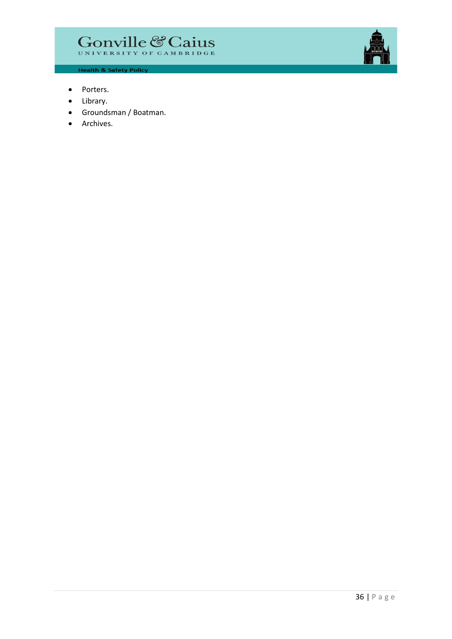# Gonville & Caius



**Health & Safety Policy** 

- Porters.
- Library.
- Groundsman / Boatman.
- Archives.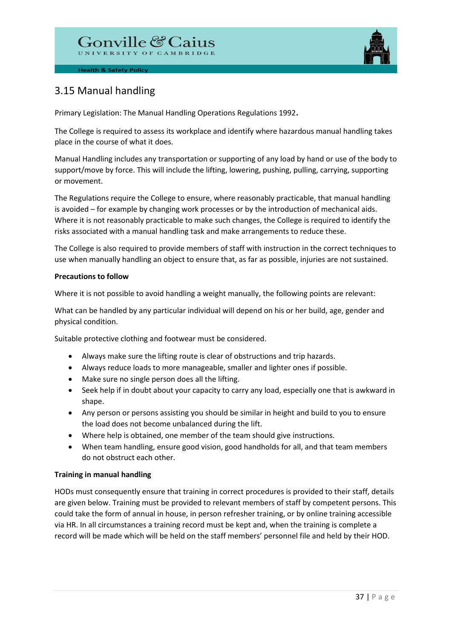# Gonville & Caius



**Health & Safety Policy** 

# 3.15 Manual handling

Primary Legislation: The Manual Handling Operations Regulations 1992.

The College is required to assess its workplace and identify where hazardous manual handling takes place in the course of what it does.

Manual Handling includes any transportation or supporting of any load by hand or use of the body to support/move by force. This will include the lifting, lowering, pushing, pulling, carrying, supporting or movement.

The Regulations require the College to ensure, where reasonably practicable, that manual handling is avoided – for example by changing work processes or by the introduction of mechanical aids. Where it is not reasonably practicable to make such changes, the College is required to identify the risks associated with a manual handling task and make arrangements to reduce these.

The College is also required to provide members of staff with instruction in the correct techniques to use when manually handling an object to ensure that, as far as possible, injuries are not sustained.

# **Precautions to follow**

Where it is not possible to avoid handling a weight manually, the following points are relevant:

What can be handled by any particular individual will depend on his or her build, age, gender and physical condition.

Suitable protective clothing and footwear must be considered.

- Always make sure the lifting route is clear of obstructions and trip hazards.
- Always reduce loads to more manageable, smaller and lighter ones if possible.
- Make sure no single person does all the lifting.
- Seek help if in doubt about your capacity to carry any load, especially one that is awkward in shape.
- Any person or persons assisting you should be similar in height and build to you to ensure the load does not become unbalanced during the lift.
- Where help is obtained, one member of the team should give instructions.
- When team handling, ensure good vision, good handholds for all, and that team members do not obstruct each other.

# **Training in manual handling**

HODs must consequently ensure that training in correct procedures is provided to their staff, details are given below. Training must be provided to relevant members of staff by competent persons. This could take the form of annual in house, in person refresher training, or by online training accessible via HR. In all circumstances a training record must be kept and, when the training is complete a record will be made which will be held on the staff members' personnel file and held by their HOD.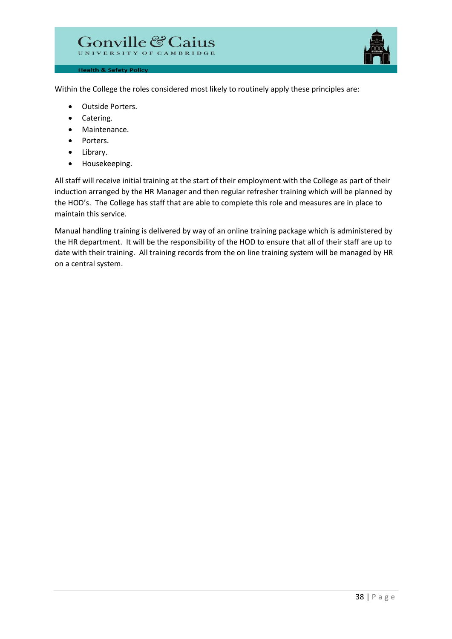

Within the College the roles considered most likely to routinely apply these principles are:

• Outside Porters.

**Health & Safety Policy** 

- Catering.
- Maintenance.
- Porters.
- Library.
- Housekeeping.

All staff will receive initial training at the start of their employment with the College as part of their induction arranged by the HR Manager and then regular refresher training which will be planned by the HOD's. The College has staff that are able to complete this role and measures are in place to maintain this service.

Manual handling training is delivered by way of an online training package which is administered by the HR department. It will be the responsibility of the HOD to ensure that all of their staff are up to date with their training. All training records from the on line training system will be managed by HR on a central system.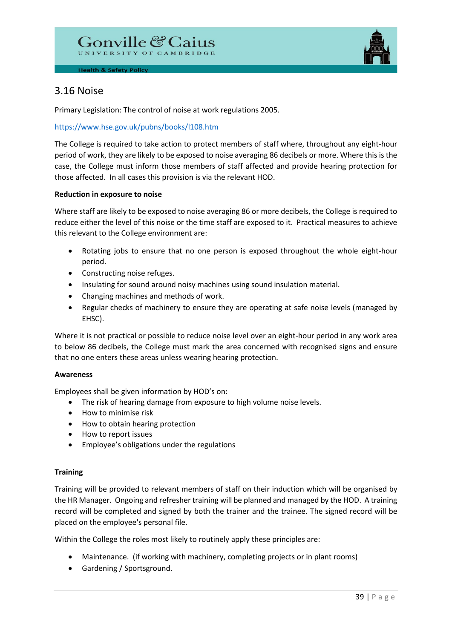

# 3.16 Noise

Primary Legislation: The control of noise at work regulations 2005.

# <https://www.hse.gov.uk/pubns/books/l108.htm>

The College is required to take action to protect members of staff where, throughout any eight-hour period of work, they are likely to be exposed to noise averaging 86 decibels or more. Where this is the case, the College must inform those members of staff affected and provide hearing protection for those affected. In all cases this provision is via the relevant HOD.

# **Reduction in exposure to noise**

Where staff are likely to be exposed to noise averaging 86 or more decibels, the College is required to reduce either the level of this noise or the time staff are exposed to it. Practical measures to achieve this relevant to the College environment are:

- Rotating jobs to ensure that no one person is exposed throughout the whole eight-hour period.
- Constructing noise refuges.
- Insulating for sound around noisy machines using sound insulation material.
- Changing machines and methods of work.
- Regular checks of machinery to ensure they are operating at safe noise levels (managed by EHSC).

Where it is not practical or possible to reduce noise level over an eight-hour period in any work area to below 86 decibels, the College must mark the area concerned with recognised signs and ensure that no one enters these areas unless wearing hearing protection.

# **Awareness**

Employees shall be given information by HOD's on:

- The risk of hearing damage from exposure to high volume noise levels.
- How to minimise risk
- How to obtain hearing protection
- How to report issues
- Employee's obligations under the regulations

# **Training**

Training will be provided to relevant members of staff on their induction which will be organised by the HR Manager. Ongoing and refresher training will be planned and managed by the HOD. A training record will be completed and signed by both the trainer and the trainee. The signed record will be placed on the employee's personal file.

Within the College the roles most likely to routinely apply these principles are:

- Maintenance. (if working with machinery, completing projects or in plant rooms)
- Gardening / Sportsground.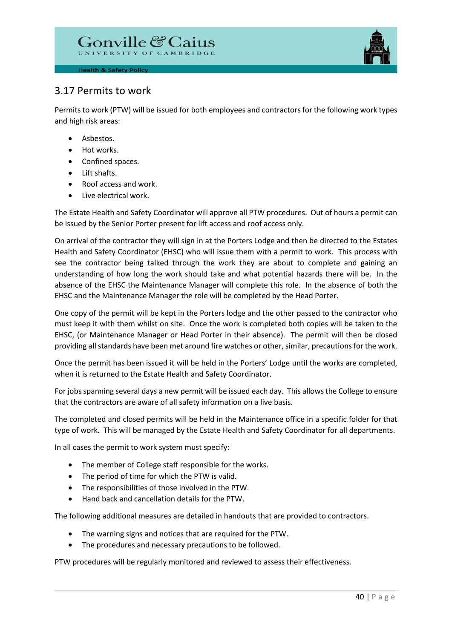# Gonville & Caius



# 3.17 Permits to work

Permits to work (PTW) will be issued for both employees and contractors for the following work types and high risk areas:

- Asbestos.
- Hot works.
- Confined spaces.
- Lift shafts.
- Roof access and work.
- Live electrical work.

The Estate Health and Safety Coordinator will approve all PTW procedures. Out of hours a permit can be issued by the Senior Porter present for lift access and roof access only.

On arrival of the contractor they will sign in at the Porters Lodge and then be directed to the Estates Health and Safety Coordinator (EHSC) who will issue them with a permit to work. This process with see the contractor being talked through the work they are about to complete and gaining an understanding of how long the work should take and what potential hazards there will be. In the absence of the EHSC the Maintenance Manager will complete this role. In the absence of both the EHSC and the Maintenance Manager the role will be completed by the Head Porter.

One copy of the permit will be kept in the Porters lodge and the other passed to the contractor who must keep it with them whilst on site. Once the work is completed both copies will be taken to the EHSC, (or Maintenance Manager or Head Porter in their absence). The permit will then be closed providing all standards have been met around fire watches or other, similar, precautions for the work.

Once the permit has been issued it will be held in the Porters' Lodge until the works are completed, when it is returned to the Estate Health and Safety Coordinator.

For jobs spanning several days a new permit will be issued each day. This allows the College to ensure that the contractors are aware of all safety information on a live basis.

The completed and closed permits will be held in the Maintenance office in a specific folder for that type of work. This will be managed by the Estate Health and Safety Coordinator for all departments.

In all cases the permit to work system must specify:

- The member of College staff responsible for the works.
- The period of time for which the PTW is valid.
- The responsibilities of those involved in the PTW.
- Hand back and cancellation details for the PTW.

The following additional measures are detailed in handouts that are provided to contractors.

- The warning signs and notices that are required for the PTW.
- The procedures and necessary precautions to be followed.

PTW procedures will be regularly monitored and reviewed to assess their effectiveness.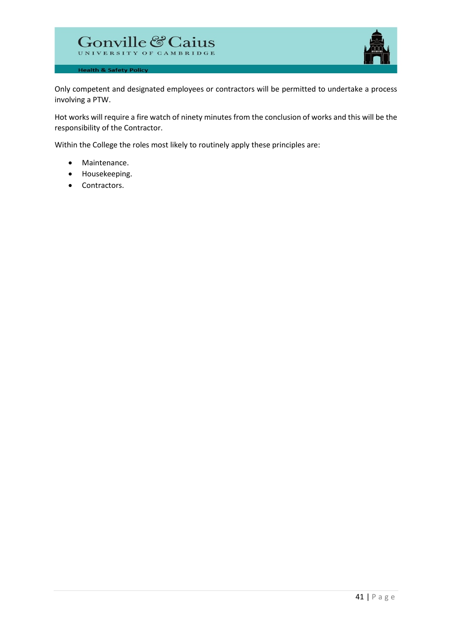



Only competent and designated employees or contractors will be permitted to undertake a process involving a PTW.

Hot works will require a fire watch of ninety minutes from the conclusion of works and this will be the responsibility of the Contractor.

Within the College the roles most likely to routinely apply these principles are:

- Maintenance.
- Housekeeping.
- Contractors.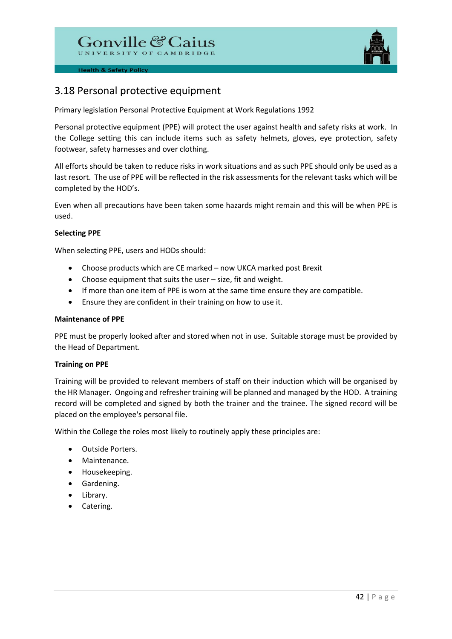

# 3.18 Personal protective equipment

Primary legislation Personal Protective Equipment at Work Regulations 1992

Personal protective equipment (PPE) will protect the user against health and safety risks at work. In the College setting this can include items such as safety helmets, gloves, eye protection, safety footwear, safety harnesses and over clothing.

All efforts should be taken to reduce risks in work situations and as such PPE should only be used as a last resort. The use of PPE will be reflected in the risk assessments for the relevant tasks which will be completed by the HOD's.

Even when all precautions have been taken some hazards might remain and this will be when PPE is used.

# **Selecting PPE**

When selecting PPE, users and HODs should:

- Choose products which are CE marked now UKCA marked post Brexit
- Choose equipment that suits the user size, fit and weight.
- If more than one item of PPE is worn at the same time ensure they are compatible.
- Ensure they are confident in their training on how to use it.

#### **Maintenance of PPE**

PPE must be properly looked after and stored when not in use. Suitable storage must be provided by the Head of Department.

# **Training on PPE**

Training will be provided to relevant members of staff on their induction which will be organised by the HR Manager. Ongoing and refresher training will be planned and managed by the HOD. A training record will be completed and signed by both the trainer and the trainee. The signed record will be placed on the employee's personal file.

Within the College the roles most likely to routinely apply these principles are:

- Outside Porters.
- Maintenance.
- Housekeeping.
- Gardening.
- Library.
- Catering.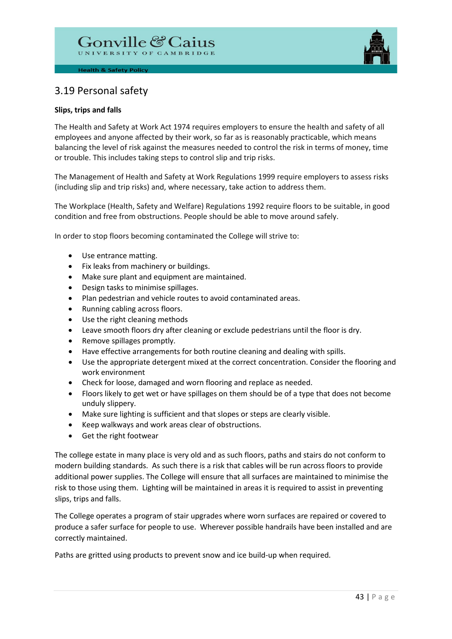

# 3.19 Personal safety

# **Slips, trips and falls**

The Health and Safety at Work Act 1974 requires employers to ensure the health and safety of all employees and anyone affected by their work, so far as is reasonably practicable, which means balancing the level of risk against the measures needed to control the risk in terms of money, time or trouble. This includes taking steps to control slip and trip risks.

The Management of Health and Safety at Work Regulations 1999 require employers to assess risks (including slip and trip risks) and, where necessary, take action to address them.

The Workplace (Health, Safety and Welfare) Regulations 1992 require floors to be suitable, in good condition and free from obstructions. People should be able to move around safely.

In order to stop floors becoming contaminated the College will strive to:

- Use entrance matting.
- Fix leaks from machinery or buildings.
- Make sure plant and equipment are maintained.
- Design tasks to minimise spillages.
- Plan pedestrian and vehicle routes to avoid contaminated areas.
- Running cabling across floors.
- Use the right cleaning methods
- Leave smooth floors dry after cleaning or exclude pedestrians until the floor is dry.
- Remove spillages promptly.
- Have effective arrangements for both routine cleaning and dealing with spills.
- Use the appropriate detergent mixed at the correct concentration. Consider the flooring and work environment
- Check for loose, damaged and worn flooring and replace as needed.
- Floors likely to get wet or have spillages on them should be of a type that does not become unduly slippery.
- Make sure lighting is sufficient and that slopes or steps are clearly visible.
- Keep walkways and work areas clear of obstructions.
- Get the right footwear

The college estate in many place is very old and as such floors, paths and stairs do not conform to modern building standards. As such there is a risk that cables will be run across floors to provide additional power supplies. The College will ensure that all surfaces are maintained to minimise the risk to those using them. Lighting will be maintained in areas it is required to assist in preventing slips, trips and falls.

The College operates a program of stair upgrades where worn surfaces are repaired or covered to produce a safer surface for people to use. Wherever possible handrails have been installed and are correctly maintained.

Paths are gritted using products to prevent snow and ice build-up when required.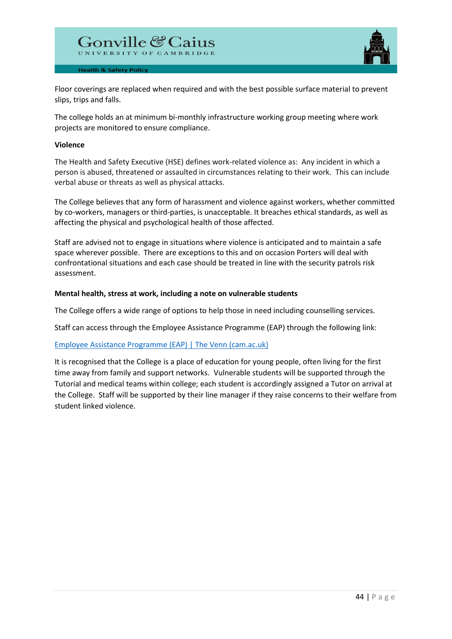

Floor coverings are replaced when required and with the best possible surface material to prevent slips, trips and falls.

The college holds an at minimum bi-monthly infrastructure working group meeting where work projects are monitored to ensure compliance.

#### **Violence**

The Health and Safety Executive (HSE) defines work-related violence as: Any incident in which a person is abused, threatened or assaulted in circumstances relating to their work. This can include verbal abuse or threats as well as physical attacks.

The College believes that any form of harassment and violence against workers, whether committed by co-workers, managers or third-parties, is unacceptable. It breaches ethical standards, as well as affecting the physical and psychological health of those affected.

Staff are advised not to engage in situations where violence is anticipated and to maintain a safe space wherever possible. There are exceptions to this and on occasion Porters will deal with confrontational situations and each case should be treated in line with the security patrols risk assessment.

#### **Mental health, stress at work, including a note on vulnerable students**

The College offers a wide range of options to help those in need including counselling services.

Staff can access through the Employee Assistance Programme (EAP) through the following link:

# [Employee Assistance Programme \(EAP\) | The Venn \(cam.ac.uk\)](https://intranet.cai.cam.ac.uk/staff/employee-assistance-programme-eap)

It is recognised that the College is a place of education for young people, often living for the first time away from family and support networks. Vulnerable students will be supported through the Tutorial and medical teams within college; each student is accordingly assigned a Tutor on arrival at the College. Staff will be supported by their line manager if they raise concerns to their welfare from student linked violence.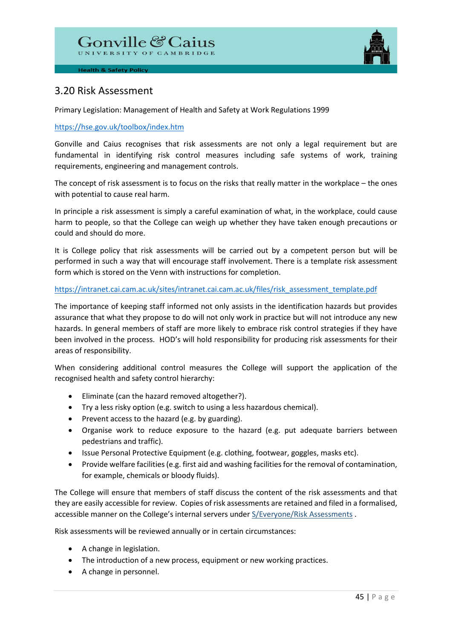

# 3.20 Risk Assessment

Primary Legislation: Management of Health and Safety at Work Regulations 1999

# <https://hse.gov.uk/toolbox/index.htm>

Gonville and Caius recognises that risk assessments are not only a legal requirement but are fundamental in identifying risk control measures including safe systems of work, training requirements, engineering and management controls.

The concept of risk assessment is to focus on the risks that really matter in the workplace – the ones with potential to cause real harm.

In principle a risk assessment is simply a careful examination of what, in the workplace, could cause harm to people, so that the College can weigh up whether they have taken enough precautions or could and should do more.

It is College policy that risk assessments will be carried out by a competent person but will be performed in such a way that will encourage staff involvement. There is a template risk assessment form which is stored on the Venn with instructions for completion.

# [https://intranet.cai.cam.ac.uk/sites/intranet.cai.cam.ac.uk/files/risk\\_assessment\\_template.pdf](https://intranet.cai.cam.ac.uk/sites/intranet.cai.cam.ac.uk/files/risk_assessment_template.pdf)

The importance of keeping staff informed not only assists in the identification hazards but provides assurance that what they propose to do will not only work in practice but will not introduce any new hazards. In general members of staff are more likely to embrace risk control strategies if they have been involved in the process. HOD's will hold responsibility for producing risk assessments for their areas of responsibility.

When considering additional control measures the College will support the application of the recognised health and safety control hierarchy:

- Eliminate (can the hazard removed altogether?).
- Try a less risky option (e.g. switch to using a less hazardous chemical).
- Prevent access to the hazard (e.g. by guarding).
- Organise work to reduce exposure to the hazard (e.g. put adequate barriers between pedestrians and traffic).
- Issue Personal Protective Equipment (e.g. clothing, footwear, goggles, masks etc).
- Provide welfare facilities (e.g. first aid and washing facilities for the removal of contamination, for example, chemicals or bloody fluids).

The College will ensure that members of staff discuss the content of the risk assessments and that they are easily accessible for review. Copies of risk assessments are retained and filed in a formalised, accessible manner on the College's internal servers under S/Everyone/Risk Assessments .

Risk assessments will be reviewed annually or in certain circumstances:

- A change in legislation.
- The introduction of a new process, equipment or new working practices.
- A change in personnel.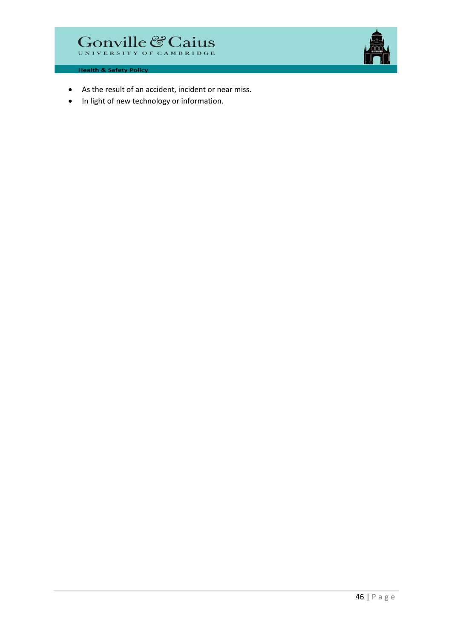

- As the result of an accident, incident or near miss.
- In light of new technology or information.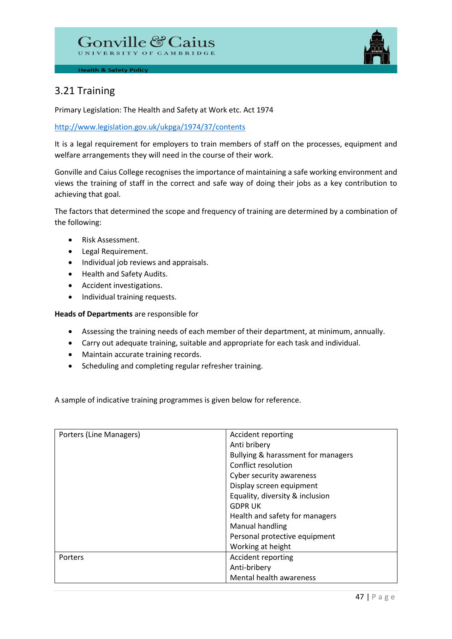

# 3.21 Training

Primary Legislation: The Health and Safety at Work etc. Act 1974

# <http://www.legislation.gov.uk/ukpga/1974/37/contents>

It is a legal requirement for employers to train members of staff on the processes, equipment and welfare arrangements they will need in the course of their work.

Gonville and Caius College recognises the importance of maintaining a safe working environment and views the training of staff in the correct and safe way of doing their jobs as a key contribution to achieving that goal.

The factors that determined the scope and frequency of training are determined by a combination of the following:

- Risk Assessment.
- Legal Requirement.
- Individual job reviews and appraisals.
- Health and Safety Audits.
- Accident investigations.
- Individual training requests.

**Heads of Departments** are responsible for

- Assessing the training needs of each member of their department, at minimum, annually.
- Carry out adequate training, suitable and appropriate for each task and individual.
- Maintain accurate training records.
- Scheduling and completing regular refresher training.

A sample of indicative training programmes is given below for reference.

| Porters (Line Managers) | Accident reporting                 |
|-------------------------|------------------------------------|
|                         | Anti bribery                       |
|                         | Bullying & harassment for managers |
|                         | Conflict resolution                |
|                         | Cyber security awareness           |
|                         | Display screen equipment           |
|                         | Equality, diversity & inclusion    |
|                         | <b>GDPR UK</b>                     |
|                         | Health and safety for managers     |
|                         | Manual handling                    |
|                         | Personal protective equipment      |
|                         | Working at height                  |
| Porters                 | Accident reporting                 |
|                         | Anti-bribery                       |
|                         | Mental health awareness            |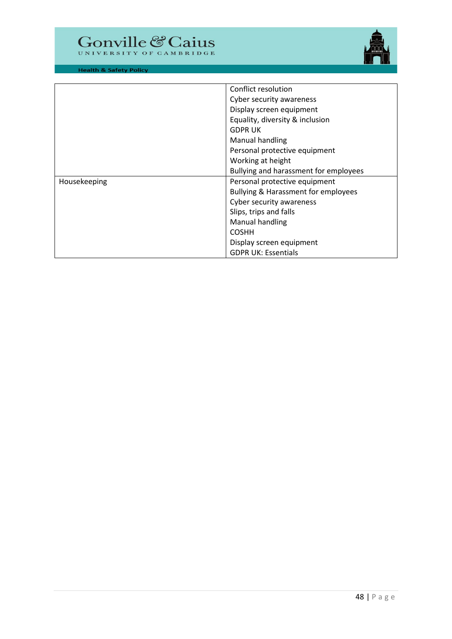



|              | Conflict resolution                                                                     |  |
|--------------|-----------------------------------------------------------------------------------------|--|
|              | Cyber security awareness<br>Display screen equipment<br>Equality, diversity & inclusion |  |
|              |                                                                                         |  |
|              |                                                                                         |  |
|              | <b>GDPRUK</b>                                                                           |  |
|              | Manual handling                                                                         |  |
|              | Personal protective equipment                                                           |  |
|              | Working at height                                                                       |  |
|              | Bullying and harassment for employees                                                   |  |
| Housekeeping | Personal protective equipment                                                           |  |
|              | <b>Bullying &amp; Harassment for employees</b>                                          |  |
|              | Cyber security awareness                                                                |  |
|              | Slips, trips and falls                                                                  |  |
|              | Manual handling                                                                         |  |
|              | <b>COSHH</b>                                                                            |  |
|              | Display screen equipment                                                                |  |
|              | <b>GDPR UK: Essentials</b>                                                              |  |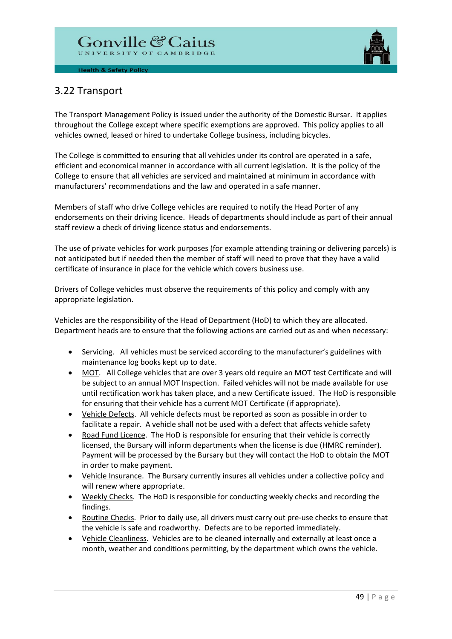

# 3.22 Transport

The Transport Management Policy is issued under the authority of the Domestic Bursar. It applies throughout the College except where specific exemptions are approved. This policy applies to all vehicles owned, leased or hired to undertake College business, including bicycles.

The College is committed to ensuring that all vehicles under its control are operated in a safe, efficient and economical manner in accordance with all current legislation. It is the policy of the College to ensure that all vehicles are serviced and maintained at minimum in accordance with manufacturers' recommendations and the law and operated in a safe manner.

Members of staff who drive College vehicles are required to notify the Head Porter of any endorsements on their driving licence. Heads of departments should include as part of their annual staff review a check of driving licence status and endorsements.

The use of private vehicles for work purposes (for example attending training or delivering parcels) is not anticipated but if needed then the member of staff will need to prove that they have a valid certificate of insurance in place for the vehicle which covers business use.

Drivers of College vehicles must observe the requirements of this policy and comply with any appropriate legislation.

Vehicles are the responsibility of the Head of Department (HoD) to which they are allocated. Department heads are to ensure that the following actions are carried out as and when necessary:

- Servicing. All vehicles must be serviced according to the manufacturer's guidelines with maintenance log books kept up to date.
- MOT. All College vehicles that are over 3 years old require an MOT test Certificate and will be subject to an annual MOT Inspection. Failed vehicles will not be made available for use until rectification work has taken place, and a new Certificate issued. The HoD is responsible for ensuring that their vehicle has a current MOT Certificate (if appropriate).
- Vehicle Defects. All vehicle defects must be reported as soon as possible in order to facilitate a repair. A vehicle shall not be used with a defect that affects vehicle safety
- Road Fund Licence. The HoD is responsible for ensuring that their vehicle is correctly licensed, the Bursary will inform departments when the license is due (HMRC reminder). Payment will be processed by the Bursary but they will contact the HoD to obtain the MOT in order to make payment.
- Vehicle Insurance. The Bursary currently insures all vehicles under a collective policy and will renew where appropriate.
- Weekly Checks. The HoD is responsible for conducting weekly checks and recording the findings.
- Routine Checks. Prior to daily use, all drivers must carry out pre-use checks to ensure that the vehicle is safe and roadworthy. Defects are to be reported immediately.
- Vehicle Cleanliness. Vehicles are to be cleaned internally and externally at least once a month, weather and conditions permitting, by the department which owns the vehicle.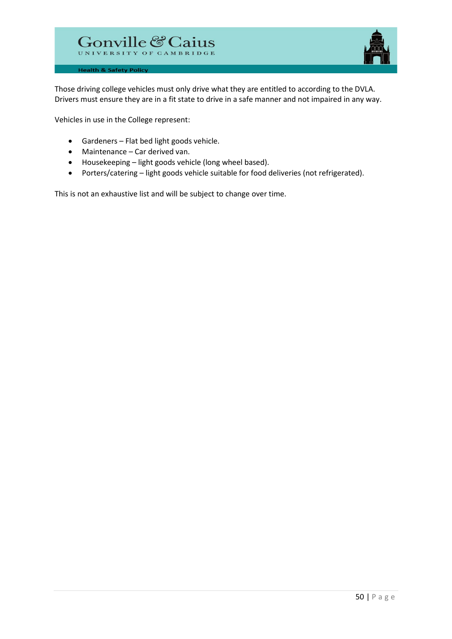

Those driving college vehicles must only drive what they are entitled to according to the DVLA. Drivers must ensure they are in a fit state to drive in a safe manner and not impaired in any way.

Vehicles in use in the College represent:

- Gardeners Flat bed light goods vehicle.
- Maintenance Car derived van.
- Housekeeping light goods vehicle (long wheel based).
- Porters/catering light goods vehicle suitable for food deliveries (not refrigerated).

This is not an exhaustive list and will be subject to change over time.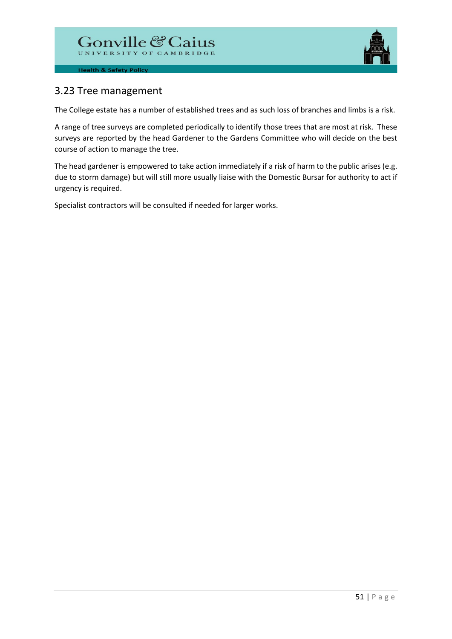

# 3.23 Tree management

The College estate has a number of established trees and as such loss of branches and limbs is a risk.

A range of tree surveys are completed periodically to identify those trees that are most at risk. These surveys are reported by the head Gardener to the Gardens Committee who will decide on the best course of action to manage the tree.

The head gardener is empowered to take action immediately if a risk of harm to the public arises (e.g. due to storm damage) but will still more usually liaise with the Domestic Bursar for authority to act if urgency is required.

Specialist contractors will be consulted if needed for larger works.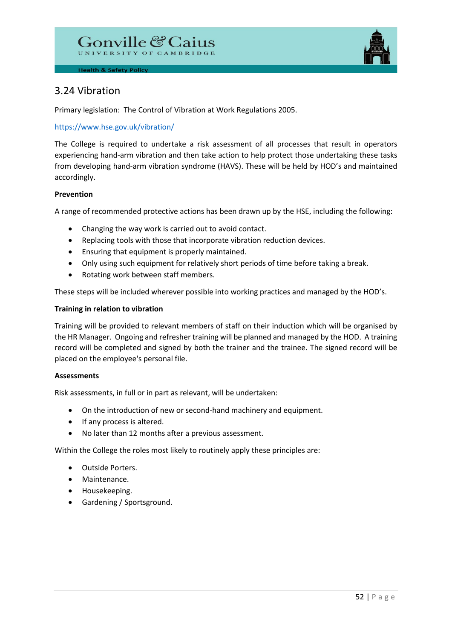

# 3.24 Vibration

Primary legislation: The Control of Vibration at Work Regulations 2005.

# <https://www.hse.gov.uk/vibration/>

The College is required to undertake a risk assessment of all processes that result in operators experiencing hand-arm vibration and then take action to help protect those undertaking these tasks from developing hand-arm vibration syndrome (HAVS). These will be held by HOD's and maintained accordingly.

# **Prevention**

A range of recommended protective actions has been drawn up by the HSE, including the following:

- Changing the way work is carried out to avoid contact.
- Replacing tools with those that incorporate vibration reduction devices.
- Ensuring that equipment is properly maintained.
- Only using such equipment for relatively short periods of time before taking a break.
- Rotating work between staff members.

These steps will be included wherever possible into working practices and managed by the HOD's.

# **Training in relation to vibration**

Training will be provided to relevant members of staff on their induction which will be organised by the HR Manager. Ongoing and refresher training will be planned and managed by the HOD. A training record will be completed and signed by both the trainer and the trainee. The signed record will be placed on the employee's personal file.

# **Assessments**

Risk assessments, in full or in part as relevant, will be undertaken:

- On the introduction of new or second-hand machinery and equipment.
- If any process is altered.
- No later than 12 months after a previous assessment.

Within the College the roles most likely to routinely apply these principles are:

- Outside Porters.
- Maintenance.
- Housekeeping.
- Gardening / Sportsground.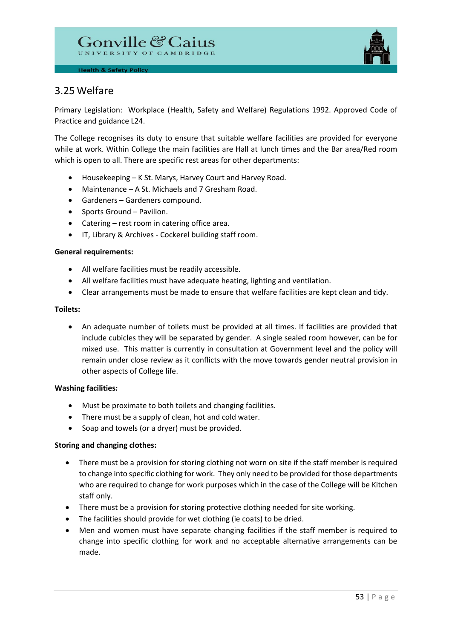

# 3.25 Welfare

Primary Legislation: Workplace (Health, Safety and Welfare) Regulations 1992. Approved Code of Practice and guidance L24.

The College recognises its duty to ensure that suitable welfare facilities are provided for everyone while at work. Within College the main facilities are Hall at lunch times and the Bar area/Red room which is open to all. There are specific rest areas for other departments:

- Housekeeping K St. Marys, Harvey Court and Harvey Road.
- Maintenance A St. Michaels and 7 Gresham Road.
- Gardeners Gardeners compound.
- Sports Ground Pavilion.
- Catering rest room in catering office area.
- IT, Library & Archives Cockerel building staff room.

#### **General requirements:**

- All welfare facilities must be readily accessible.
- All welfare facilities must have adequate heating, lighting and ventilation.
- Clear arrangements must be made to ensure that welfare facilities are kept clean and tidy.

#### **Toilets:**

• An adequate number of toilets must be provided at all times. If facilities are provided that include cubicles they will be separated by gender. A single sealed room however, can be for mixed use. This matter is currently in consultation at Government level and the policy will remain under close review as it conflicts with the move towards gender neutral provision in other aspects of College life.

# **Washing facilities:**

- Must be proximate to both toilets and changing facilities.
- There must be a supply of clean, hot and cold water.
- Soap and towels (or a dryer) must be provided.

# **Storing and changing clothes:**

- There must be a provision for storing clothing not worn on site if the staff member is required to change into specific clothing for work. They only need to be provided for those departments who are required to change for work purposes which in the case of the College will be Kitchen staff only.
- There must be a provision for storing protective clothing needed for site working.
- The facilities should provide for wet clothing (ie coats) to be dried.
- Men and women must have separate changing facilities if the staff member is required to change into specific clothing for work and no acceptable alternative arrangements can be made.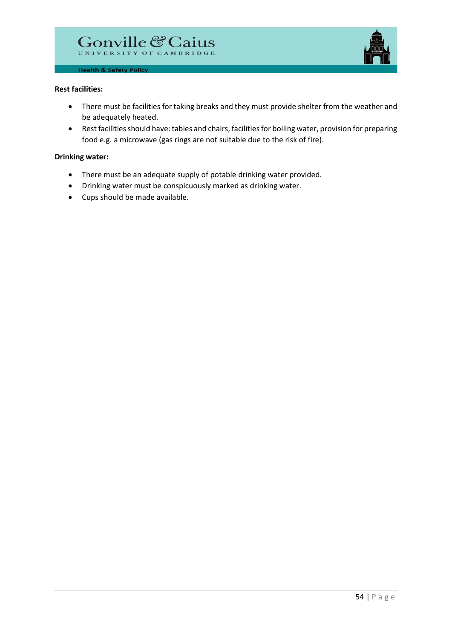

#### **Rest facilities:**

- There must be facilities for taking breaks and they must provide shelter from the weather and be adequately heated.
- Rest facilities should have: tables and chairs, facilities for boiling water, provision for preparing food e.g. a microwave (gas rings are not suitable due to the risk of fire).

#### **Drinking water:**

- There must be an adequate supply of potable drinking water provided.
- Drinking water must be conspicuously marked as drinking water.
- Cups should be made available.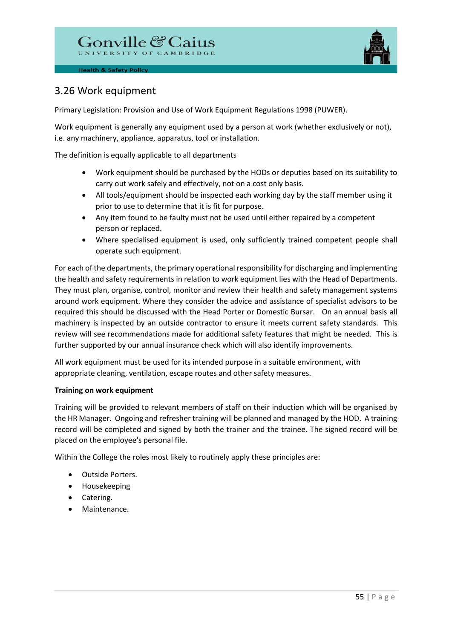

# 3.26 Work equipment

Primary Legislation: Provision and Use of Work Equipment Regulations 1998 (PUWER).

Work equipment is generally any equipment used by a person at work (whether exclusively or not), i.e. any machinery, appliance, apparatus, tool or installation.

The definition is equally applicable to all departments

- Work equipment should be purchased by the HODs or deputies based on its suitability to carry out work safely and effectively, not on a cost only basis.
- All tools/equipment should be inspected each working day by the staff member using it prior to use to determine that it is fit for purpose.
- Any item found to be faulty must not be used until either repaired by a competent person or replaced.
- Where specialised equipment is used, only sufficiently trained competent people shall operate such equipment.

For each of the departments, the primary operational responsibility for discharging and implementing the health and safety requirements in relation to work equipment lies with the Head of Departments. They must plan, organise, control, monitor and review their health and safety management systems around work equipment. Where they consider the advice and assistance of specialist advisors to be required this should be discussed with the Head Porter or Domestic Bursar. On an annual basis all machinery is inspected by an outside contractor to ensure it meets current safety standards. This review will see recommendations made for additional safety features that might be needed. This is further supported by our annual insurance check which will also identify improvements.

All work equipment must be used for its intended purpose in a suitable environment, with appropriate cleaning, ventilation, escape routes and other safety measures.

# **Training on work equipment**

Training will be provided to relevant members of staff on their induction which will be organised by the HR Manager. Ongoing and refresher training will be planned and managed by the HOD. A training record will be completed and signed by both the trainer and the trainee. The signed record will be placed on the employee's personal file.

Within the College the roles most likely to routinely apply these principles are:

- Outside Porters.
- Housekeeping
- Catering.
- Maintenance.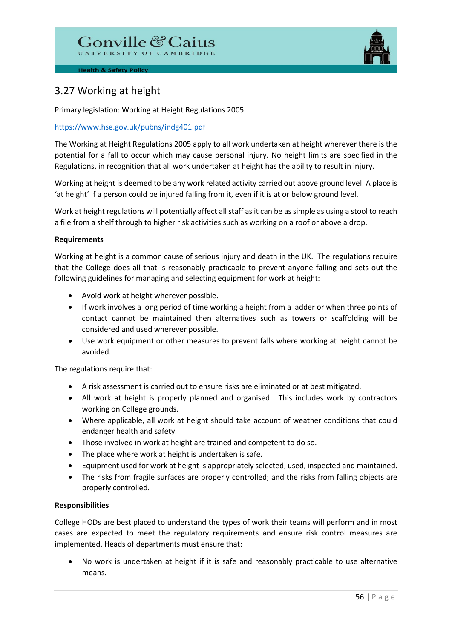# Gonville & Caius



**Health & Safety Policy** 

# 3.27 Working at height

Primary legislation: Working at Height Regulations 2005

# <https://www.hse.gov.uk/pubns/indg401.pdf>

The Working at Height Regulations 2005 apply to all work undertaken at height wherever there is the potential for a fall to occur which may cause personal injury. No height limits are specified in the Regulations, in recognition that all work undertaken at height has the ability to result in injury.

Working at height is deemed to be any work related activity carried out above ground level. A place is 'at height' if a person could be injured falling from it, even if it is at or below ground level.

Work at height regulations will potentially affect all staff as it can be as simple as using a stool to reach a file from a shelf through to higher risk activities such as working on a roof or above a drop.

# **Requirements**

Working at height is a common cause of serious injury and death in the UK. The regulations require that the College does all that is reasonably practicable to prevent anyone falling and sets out the following guidelines for managing and selecting equipment for work at height:

- Avoid work at height wherever possible.
- If work involves a long period of time working a height from a ladder or when three points of contact cannot be maintained then alternatives such as towers or scaffolding will be considered and used wherever possible.
- Use work equipment or other measures to prevent falls where working at height cannot be avoided.

The regulations require that:

- A risk assessment is carried out to ensure risks are eliminated or at best mitigated.
- All work at height is properly planned and organised. This includes work by contractors working on College grounds.
- Where applicable, all work at height should take account of weather conditions that could endanger health and safety.
- Those involved in work at height are trained and competent to do so.
- The place where work at height is undertaken is safe.
- Equipment used for work at height is appropriately selected, used, inspected and maintained.
- The risks from fragile surfaces are properly controlled; and the risks from falling objects are properly controlled.

# **Responsibilities**

College HODs are best placed to understand the types of work their teams will perform and in most cases are expected to meet the regulatory requirements and ensure risk control measures are implemented. Heads of departments must ensure that:

• No work is undertaken at height if it is safe and reasonably practicable to use alternative means.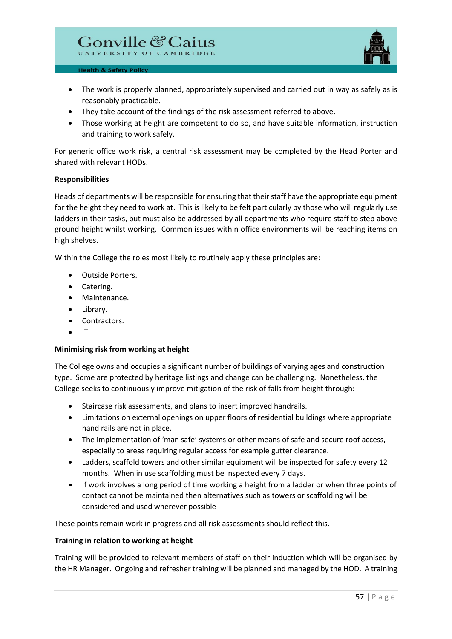

- The work is properly planned, appropriately supervised and carried out in way as safely as is reasonably practicable.
- They take account of the findings of the risk assessment referred to above.
- Those working at height are competent to do so, and have suitable information, instruction and training to work safely.

For generic office work risk, a central risk assessment may be completed by the Head Porter and shared with relevant HODs.

#### **Responsibilities**

Heads of departments will be responsible for ensuring that their staff have the appropriate equipment for the height they need to work at. This is likely to be felt particularly by those who will regularly use ladders in their tasks, but must also be addressed by all departments who require staff to step above ground height whilst working. Common issues within office environments will be reaching items on high shelves.

Within the College the roles most likely to routinely apply these principles are:

- Outside Porters.
- Catering.
- Maintenance.
- Library.
- Contractors.
- IT

# **Minimising risk from working at height**

The College owns and occupies a significant number of buildings of varying ages and construction type. Some are protected by heritage listings and change can be challenging. Nonetheless, the College seeks to continuously improve mitigation of the risk of falls from height through:

- Staircase risk assessments, and plans to insert improved handrails.
- Limitations on external openings on upper floors of residential buildings where appropriate hand rails are not in place.
- The implementation of 'man safe' systems or other means of safe and secure roof access, especially to areas requiring regular access for example gutter clearance.
- Ladders, scaffold towers and other similar equipment will be inspected for safety every 12 months. When in use scaffolding must be inspected every 7 days.
- If work involves a long period of time working a height from a ladder or when three points of contact cannot be maintained then alternatives such as towers or scaffolding will be considered and used wherever possible

These points remain work in progress and all risk assessments should reflect this.

#### **Training in relation to working at height**

Training will be provided to relevant members of staff on their induction which will be organised by the HR Manager. Ongoing and refresher training will be planned and managed by the HOD. A training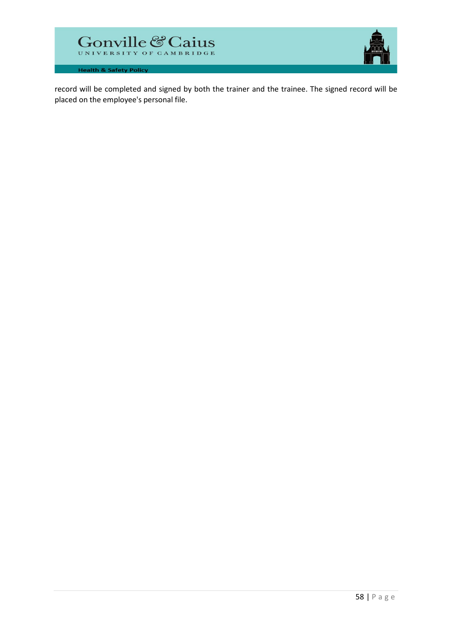



record will be completed and signed by both the trainer and the trainee. The signed record will be placed on the employee's personal file.